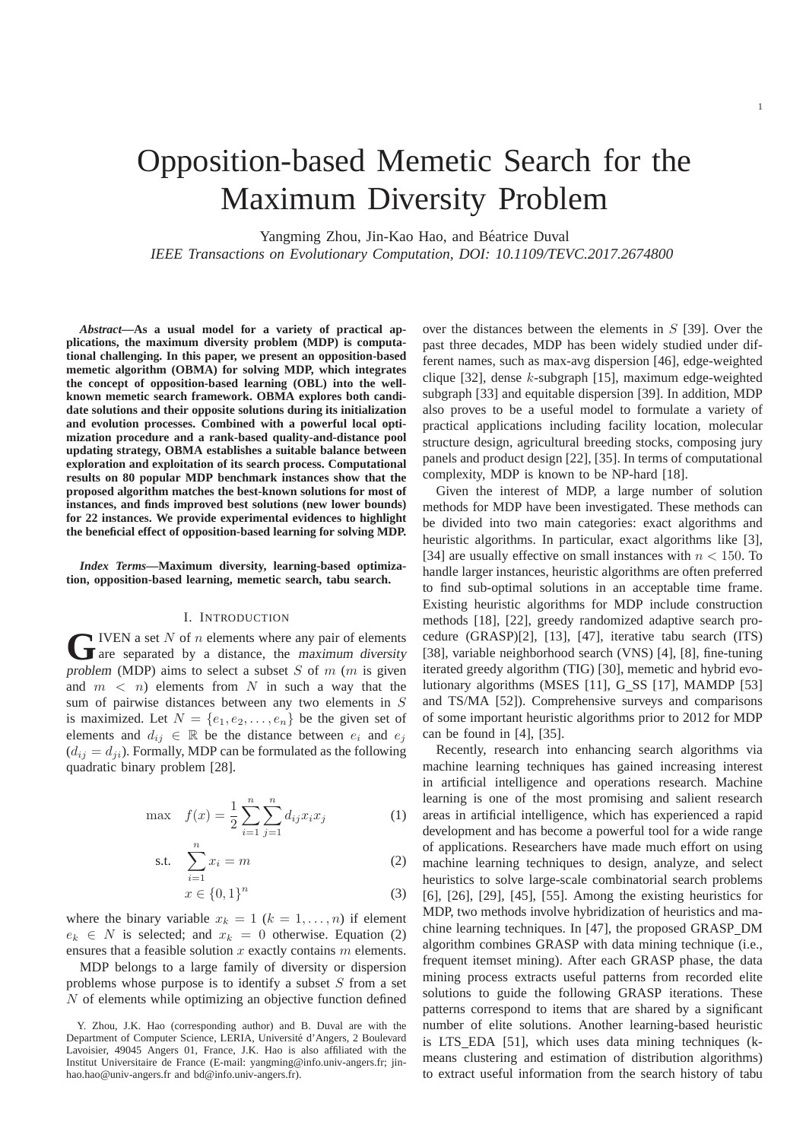# Opposition-based Memetic Search for the Maximum Diversity Problem

Yangming Zhou, Jin-Kao Hao, and Béatrice Duval

*IEEE Transactions on Evolutionary Computation, DOI: 10.1109/TEVC.2017.2674800*

*Abstract***—As a usual model for a variety of practical applications, the maximum diversity problem (MDP) is computational challenging. In this paper, we present an opposition-based memetic algorithm (OBMA) for solving MDP, which integrates the concept of opposition-based learning (OBL) into the wellknown memetic search framework. OBMA explores both candidate solutions and their opposite solutions during its initialization and evolution processes. Combined with a powerful local optimization procedure and a rank-based quality-and-distance pool updating strategy, OBMA establishes a suitable balance between exploration and exploitation of its search process. Computational results on 80 popular MDP benchmark instances show that the proposed algorithm matches the best-known solutions for most of instances, and finds improved best solutions (new lower bounds) for 22 instances. We provide experimental evidences to highlight the beneficial effect of opposition-based learning for solving MDP.**

*Index Terms***—Maximum diversity, learning-based optimization, opposition-based learning, memetic search, tabu search.**

# I. INTRODUCTION

**G** IVEN a set N of n elements where any pair of elements are separated by a distance, the maximum diversity  $\blacktriangleright$  IVEN a set N of n elements where any pair of elements problem (MDP) aims to select a subset  $S$  of  $m$  ( $m$  is given and  $m < n$ ) elements from N in such a way that the sum of pairwise distances between any two elements in S is maximized. Let  $N = \{e_1, e_2, \ldots, e_n\}$  be the given set of elements and  $d_{ij} \in \mathbb{R}$  be the distance between  $e_i$  and  $e_j$  $(d_{ij} = d_{ji})$ . Formally, MDP can be formulated as the following quadratic binary problem [28].

$$
\max \quad f(x) = \frac{1}{2} \sum_{i=1}^{n} \sum_{j=1}^{n} d_{ij} x_i x_j \tag{1}
$$

$$
\text{s.t.} \quad \sum_{i=1}^{n} x_i = m \tag{2}
$$

$$
x \in \{0,1\}^n \tag{3}
$$

where the binary variable  $x_k = 1$   $(k = 1, \ldots, n)$  if element  $e_k \in N$  is selected; and  $x_k = 0$  otherwise. Equation (2) ensures that a feasible solution  $x$  exactly contains  $m$  elements.

MDP belongs to a large family of diversity or dispersion problems whose purpose is to identify a subset  $S$  from a set  $N$  of elements while optimizing an objective function defined over the distances between the elements in S [39]. Over the past three decades, MDP has been widely studied under different names, such as max-avg dispersion [46], edge-weighted clique [32], dense  $k$ -subgraph [15], maximum edge-weighted subgraph [33] and equitable dispersion [39]. In addition, MDP also proves to be a useful model to formulate a variety of practical applications including facility location, molecular structure design, agricultural breeding stocks, composing jury panels and product design [22], [35]. In terms of computational complexity, MDP is known to be NP-hard [18].

Given the interest of MDP, a large number of solution methods for MDP have been investigated. These methods can be divided into two main categories: exact algorithms and heuristic algorithms. In particular, exact algorithms like [3], [34] are usually effective on small instances with  $n < 150$ . To handle larger instances, heuristic algorithms are often preferred to find sub-optimal solutions in an acceptable time frame. Existing heuristic algorithms for MDP include construction methods [18], [22], greedy randomized adaptive search procedure (GRASP)[2], [13], [47], iterative tabu search (ITS) [38], variable neighborhood search (VNS) [4], [8], fine-tuning iterated greedy algorithm (TIG) [30], memetic and hybrid evolutionary algorithms (MSES [11], G SS [17], MAMDP [53] and TS/MA [52]). Comprehensive surveys and comparisons of some important heuristic algorithms prior to 2012 for MDP can be found in [4], [35].

Recently, research into enhancing search algorithms via machine learning techniques has gained increasing interest in artificial intelligence and operations research. Machine learning is one of the most promising and salient research areas in artificial intelligence, which has experienced a rapid development and has become a powerful tool for a wide range of applications. Researchers have made much effort on using machine learning techniques to design, analyze, and select heuristics to solve large-scale combinatorial search problems [6], [26], [29], [45], [55]. Among the existing heuristics for MDP, two methods involve hybridization of heuristics and machine learning techniques. In [47], the proposed GRASP DM algorithm combines GRASP with data mining technique (i.e., frequent itemset mining). After each GRASP phase, the data mining process extracts useful patterns from recorded elite solutions to guide the following GRASP iterations. These patterns correspond to items that are shared by a significant number of elite solutions. Another learning-based heuristic is LTS EDA [51], which uses data mining techniques (kmeans clustering and estimation of distribution algorithms) to extract useful information from the search history of tabu

Y. Zhou, J.K. Hao (corresponding author) and B. Duval are with the Department of Computer Science, LERIA, Université d'Angers, 2 Boulevard Lavoisier, 49045 Angers 01, France, J.K. Hao is also affiliated with the Institut Universitaire de France (E-mail: yangming@info.univ-angers.fr; jinhao.hao@univ-angers.fr and bd@info.univ-angers.fr).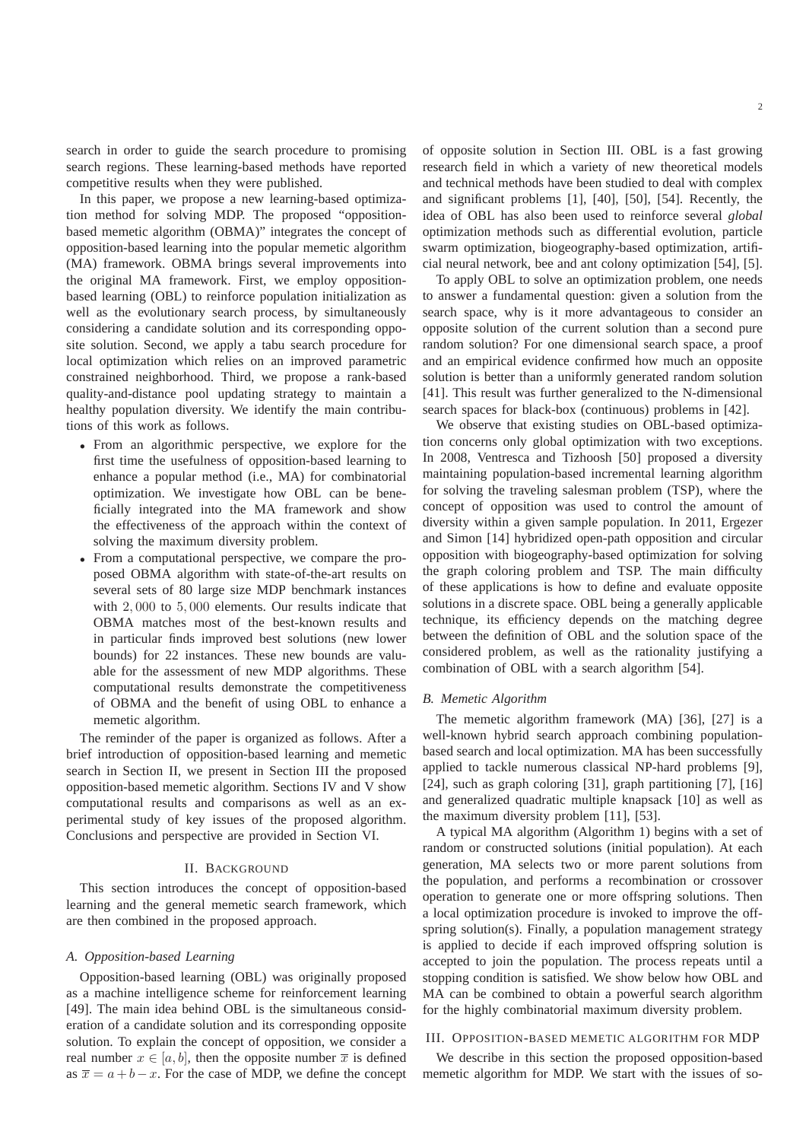search in order to guide the search procedure to promising search regions. These learning-based methods have reported competitive results when they were published.

In this paper, we propose a new learning-based optimization method for solving MDP. The proposed "oppositionbased memetic algorithm (OBMA)" integrates the concept of opposition-based learning into the popular memetic algorithm (MA) framework. OBMA brings several improvements into the original MA framework. First, we employ oppositionbased learning (OBL) to reinforce population initialization as well as the evolutionary search process, by simultaneously considering a candidate solution and its corresponding opposite solution. Second, we apply a tabu search procedure for local optimization which relies on an improved parametric constrained neighborhood. Third, we propose a rank-based quality-and-distance pool updating strategy to maintain a healthy population diversity. We identify the main contributions of this work as follows.

- From an algorithmic perspective, we explore for the first time the usefulness of opposition-based learning to enhance a popular method (i.e., MA) for combinatorial optimization. We investigate how OBL can be beneficially integrated into the MA framework and show the effectiveness of the approach within the context of solving the maximum diversity problem.
- From a computational perspective, we compare the proposed OBMA algorithm with state-of-the-art results on several sets of 80 large size MDP benchmark instances with 2, 000 to 5, 000 elements. Our results indicate that OBMA matches most of the best-known results and in particular finds improved best solutions (new lower bounds) for 22 instances. These new bounds are valuable for the assessment of new MDP algorithms. These computational results demonstrate the competitiveness of OBMA and the benefit of using OBL to enhance a memetic algorithm.

The reminder of the paper is organized as follows. After a brief introduction of opposition-based learning and memetic search in Section II, we present in Section III the proposed opposition-based memetic algorithm. Sections IV and V show computational results and comparisons as well as an experimental study of key issues of the proposed algorithm. Conclusions and perspective are provided in Section VI.

# II. BACKGROUND

This section introduces the concept of opposition-based learning and the general memetic search framework, which are then combined in the proposed approach.

## *A. Opposition-based Learning*

Opposition-based learning (OBL) was originally proposed as a machine intelligence scheme for reinforcement learning [49]. The main idea behind OBL is the simultaneous consideration of a candidate solution and its corresponding opposite solution. To explain the concept of opposition, we consider a real number  $x \in [a, b]$ , then the opposite number  $\overline{x}$  is defined as  $\bar{x} = a + b - x$ . For the case of MDP, we define the concept of opposite solution in Section III. OBL is a fast growing research field in which a variety of new theoretical models and technical methods have been studied to deal with complex and significant problems [1], [40], [50], [54]. Recently, the idea of OBL has also been used to reinforce several *global* optimization methods such as differential evolution, particle swarm optimization, biogeography-based optimization, artificial neural network, bee and ant colony optimization [54], [5].

To apply OBL to solve an optimization problem, one needs to answer a fundamental question: given a solution from the search space, why is it more advantageous to consider an opposite solution of the current solution than a second pure random solution? For one dimensional search space, a proof and an empirical evidence confirmed how much an opposite solution is better than a uniformly generated random solution [41]. This result was further generalized to the N-dimensional search spaces for black-box (continuous) problems in [42].

We observe that existing studies on OBL-based optimization concerns only global optimization with two exceptions. In 2008, Ventresca and Tizhoosh [50] proposed a diversity maintaining population-based incremental learning algorithm for solving the traveling salesman problem (TSP), where the concept of opposition was used to control the amount of diversity within a given sample population. In 2011, Ergezer and Simon [14] hybridized open-path opposition and circular opposition with biogeography-based optimization for solving the graph coloring problem and TSP. The main difficulty of these applications is how to define and evaluate opposite solutions in a discrete space. OBL being a generally applicable technique, its efficiency depends on the matching degree between the definition of OBL and the solution space of the considered problem, as well as the rationality justifying a combination of OBL with a search algorithm [54].

#### *B. Memetic Algorithm*

The memetic algorithm framework (MA) [36], [27] is a well-known hybrid search approach combining populationbased search and local optimization. MA has been successfully applied to tackle numerous classical NP-hard problems [9], [24], such as graph coloring [31], graph partitioning [7], [16] and generalized quadratic multiple knapsack [10] as well as the maximum diversity problem [11], [53].

A typical MA algorithm (Algorithm 1) begins with a set of random or constructed solutions (initial population). At each generation, MA selects two or more parent solutions from the population, and performs a recombination or crossover operation to generate one or more offspring solutions. Then a local optimization procedure is invoked to improve the offspring solution(s). Finally, a population management strategy is applied to decide if each improved offspring solution is accepted to join the population. The process repeats until a stopping condition is satisfied. We show below how OBL and MA can be combined to obtain a powerful search algorithm for the highly combinatorial maximum diversity problem.

## III. OPPOSITION-BASED MEMETIC ALGORITHM FOR MDP

We describe in this section the proposed opposition-based memetic algorithm for MDP. We start with the issues of so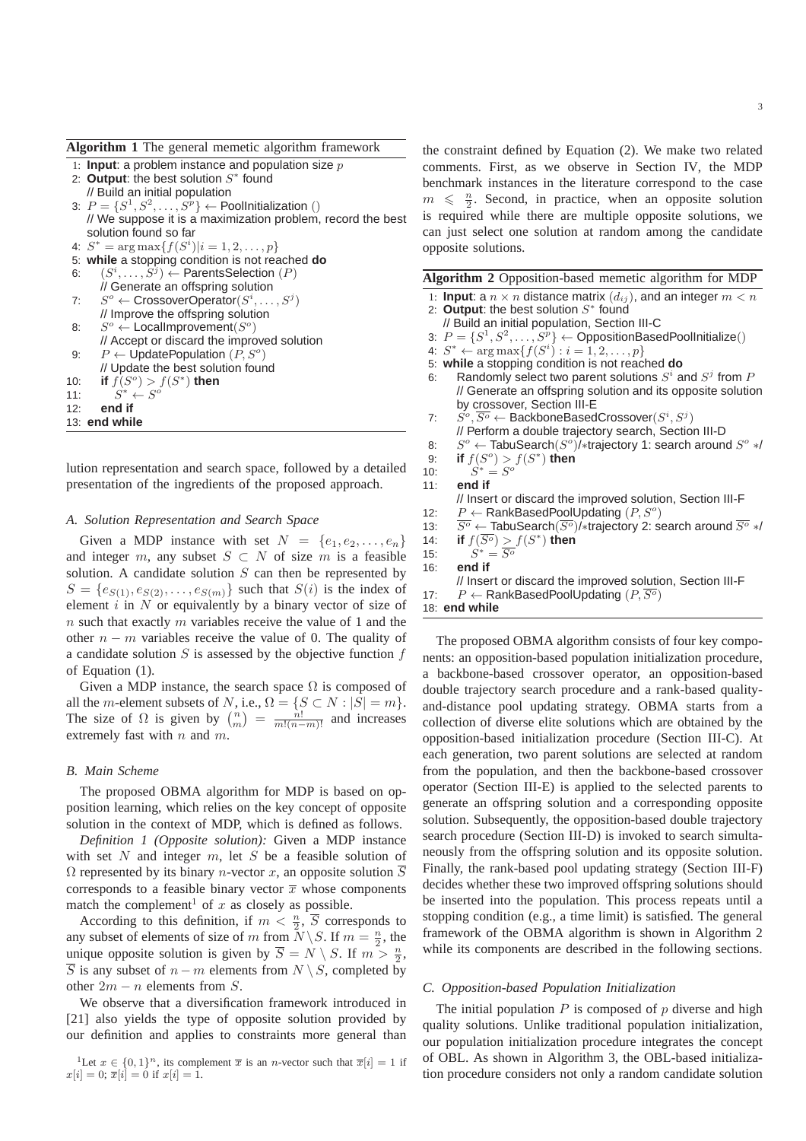**Algorithm 1** The general memetic algorithm framework

- 1: **Input**: a problem instance and population size p
- 2: Output: the best solution  $S^*$  found // Build an initial population 3:  $P = \{S^1, S^2, \ldots, S^p\} \leftarrow$  PoolInitialization () // We suppose it is a maximization problem, record the best solution found so far
- 4:  $S^* = \arg \max \{f(S^i) | i = 1, 2, ..., p\}$
- 5: **while** a stopping condition is not reached **do**
- 6:  $(S^i, \ldots, S^j) \leftarrow$  ParentsSelection  $(P)$
- // Generate an offspring solution 7:  $S^o \leftarrow \text{CrossoverOperator}(S^i, \ldots, S^j)$ // Improve the offspring solution 8:  $S^o \leftarrow \text{LocalImprovement}(S^o)$
- // Accept or discard the improved solution 9:  $P \leftarrow \text{UpdatePopulation}(P, S^o)$ // Update the best solution found 10: **if**  $f(S^o) > f(S^*)$  then 11:  $S^* \leftarrow S^o$
- 12: **end if**
- 13: **end while**

lution representation and search space, followed by a detailed presentation of the ingredients of the proposed approach.

## *A. Solution Representation and Search Space*

Given a MDP instance with set  $N = \{e_1, e_2, \ldots, e_n\}$ and integer m, any subset  $S \subset N$  of size m is a feasible solution. A candidate solution  $S$  can then be represented by  $S = \{e_{S(1)}, e_{S(2)}, \ldots, e_{S(m)}\}\$  such that  $S(i)$  is the index of element  $i$  in  $N$  or equivalently by a binary vector of size of  $n$  such that exactly  $m$  variables receive the value of 1 and the other  $n - m$  variables receive the value of 0. The quality of a candidate solution  $S$  is assessed by the objective function  $f$ of Equation (1).

Given a MDP instance, the search space  $\Omega$  is composed of all the *m*-element subsets of N, i.e.,  $\Omega = \{S \subset N : |S| = m\}.$ The size of  $\Omega$  is given by  $\binom{n}{m} = \frac{n!}{m!(n-m)!}$  and increases extremely fast with  $n$  and  $m$ .

#### *B. Main Scheme*

The proposed OBMA algorithm for MDP is based on opposition learning, which relies on the key concept of opposite solution in the context of MDP, which is defined as follows.

*Definition 1 (Opposite solution):* Given a MDP instance with set  $N$  and integer  $m$ , let  $S$  be a feasible solution of  $\Omega$  represented by its binary *n*-vector *x*, an opposite solution  $\overline{S}$ corresponds to a feasible binary vector  $\bar{x}$  whose components match the complement<sup>1</sup> of x as closely as possible.

According to this definition, if  $m < \frac{n}{2}$ ,  $\overline{S}$  corresponds to any subset of elements of size of m from  $\bar{N} \setminus S$ . If  $m = \frac{n}{2}$ , the unique opposite solution is given by  $\overline{S} = N \setminus S$ . If  $m > \frac{n}{2}$ ,  $\overline{S}$  is any subset of  $n - m$  elements from  $N \setminus S$ , completed by other  $2m - n$  elements from S.

We observe that a diversification framework introduced in [21] also yields the type of opposite solution provided by our definition and applies to constraints more general than

the constraint defined by Equation (2). We make two related comments. First, as we observe in Section IV, the MDP benchmark instances in the literature correspond to the case  $m \leq \frac{n}{2}$ . Second, in practice, when an opposite solution is required while there are multiple opposite solutions, we can just select one solution at random among the candidate opposite solutions.

|  | Algorithm 2 Opposition-based memetic algorithm for MDP |  |  |  |  |
|--|--------------------------------------------------------|--|--|--|--|
|--|--------------------------------------------------------|--|--|--|--|

1: **Input**: a  $n \times n$  distance matrix  $(d_{ij})$ , and an integer  $m < n$ 2: Output: the best solution S<sup>\*</sup> found // Build an initial population, Section III-C 3:  $P = \{S^1, S^2, \ldots, S^p\} \leftarrow$  OppositionBasedPoolInitialize() 4:  $S^* \leftarrow \arg \max \{ f(S^i) : i = 1, 2, \dots, p \}$ 5: **while** a stopping condition is not reached **do** 6: Randomly select two parent solutions  $S^i$  and  $S^j$  from  $P$ // Generate an offspring solution and its opposite solution by crossover, Section III-E 7:  $S^o, \overline{S^o} \leftarrow \mathsf{BackboneBasedCrossover}(S^i, S^j)$ // Perform a double trajectory search, Section III-D 8:  $S^o \leftarrow \textsf{TabuSearch}(S^o)$ / $*$ trajectory 1: search around  $S^o *$ / 9: **if**  $f(S^o) > f(S^*)$  then  $10:$  $\mathbf{v}^* = S^{\circ}$ 11: **end if** // Insert or discard the improved solution, Section III-F 12:  $P \leftarrow$  RankBasedPoolUpdating  $(P, S^o)$ 13:  $\overline{S}^{\circ}$  ← TabuSearch( $\overline{S}^{\circ}$ )/∗trajectory 2: search around  $\overline{S}^{\circ}$  ∗/<br>14: **if**  $f(\overline{S}^{\circ}) > f(S^*)$  then 14: **if**  $f(\overline{S^o}) > f(S^*)$  then  $15:$  $S^* = \overline{S^o}$ 16: **end if** // Insert or discard the improved solution, Section III-F 17:  $P \leftarrow$  RankBasedPoolUpdating  $(P, \overline{S^o})$ 

18: **end while**

The proposed OBMA algorithm consists of four key components: an opposition-based population initialization procedure, a backbone-based crossover operator, an opposition-based double trajectory search procedure and a rank-based qualityand-distance pool updating strategy. OBMA starts from a collection of diverse elite solutions which are obtained by the opposition-based initialization procedure (Section III-C). At each generation, two parent solutions are selected at random from the population, and then the backbone-based crossover operator (Section III-E) is applied to the selected parents to generate an offspring solution and a corresponding opposite solution. Subsequently, the opposition-based double trajectory search procedure (Section III-D) is invoked to search simultaneously from the offspring solution and its opposite solution. Finally, the rank-based pool updating strategy (Section III-F) decides whether these two improved offspring solutions should be inserted into the population. This process repeats until a stopping condition (e.g., a time limit) is satisfied. The general framework of the OBMA algorithm is shown in Algorithm 2 while its components are described in the following sections.

#### *C. Opposition-based Population Initialization*

The initial population  $P$  is composed of  $p$  diverse and high quality solutions. Unlike traditional population initialization, our population initialization procedure integrates the concept of OBL. As shown in Algorithm 3, the OBL-based initialization procedure considers not only a random candidate solution

<sup>&</sup>lt;sup>1</sup>Let  $x \in \{0,1\}^n$ , its complement  $\overline{x}$  is an *n*-vector such that  $\overline{x}[i] = 1$  if  $x[i] = 0; \overline{x}[i] = 0 \text{ if } x[i] = 1.$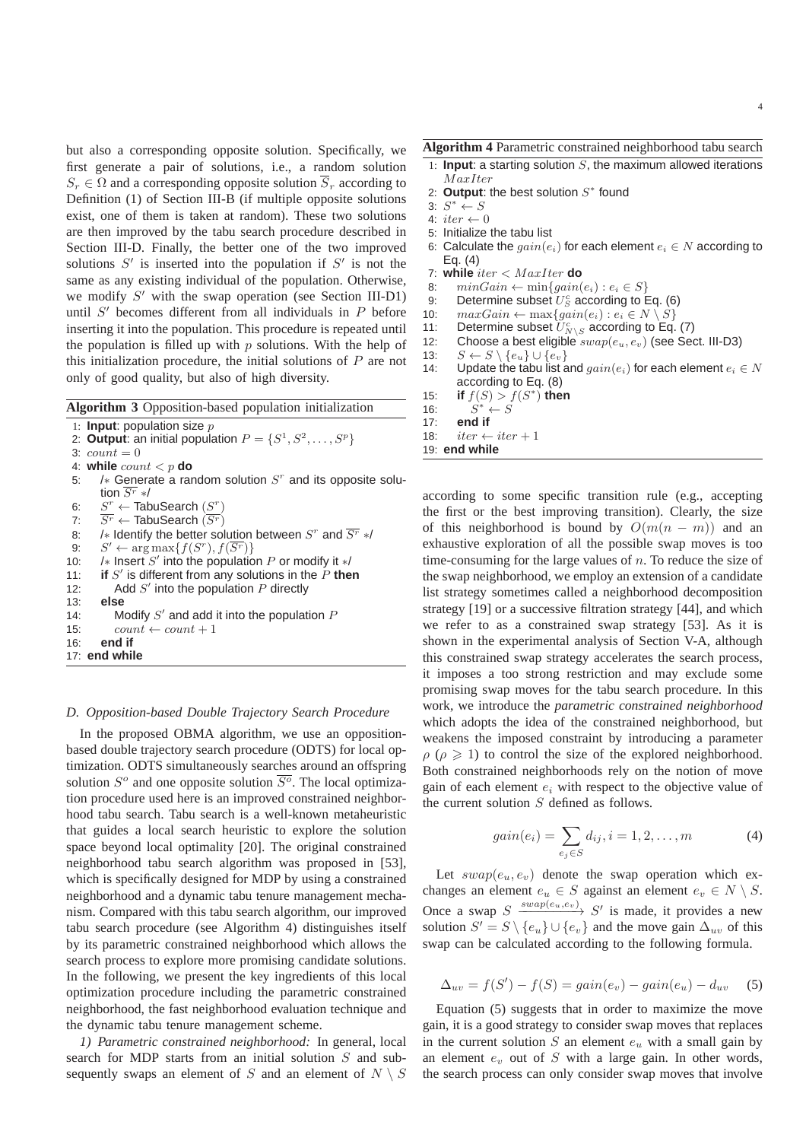but also a corresponding opposite solution. Specifically, we first generate a pair of solutions, i.e., a random solution  $S_r \in \Omega$  and a corresponding opposite solution  $S_r$  according to Definition (1) of Section III-B (if multiple opposite solutions exist, one of them is taken at random). These two solutions are then improved by the tabu search procedure described in Section III-D. Finally, the better one of the two improved solutions  $S'$  is inserted into the population if  $S'$  is not the

same as any existing individual of the population. Otherwise, we modify S' with the swap operation (see Section III-D1) until  $S'$  becomes different from all individuals in  $P$  before inserting it into the population. This procedure is repeated until the population is filled up with  $p$  solutions. With the help of this initialization procedure, the initial solutions of  $P$  are not only of good quality, but also of high diversity.

|  | Algorithm 3 Opposition-based population initialization |  |  |
|--|--------------------------------------------------------|--|--|
|--|--------------------------------------------------------|--|--|

1: **Input**: population size p

2: **Output**: an initial population  $P = \{S^1, S^2, \dots, S^p\}$ 3:  $count = 0$ 4: **while**  $count < p$  **do**<br>5: /\* Generate a rare 5: / $\ast$  Generate a random solution  $S^r$  and its opposite solution  $\overline{S^r}$  \*/ 6:  $S^r \leftarrow$  TabuSearch  $(S^r)$ 7:  $\overline{S^r} \leftarrow$  TabuSearch  $(\overline{S^r})$ 8: /∗ Identify the better solution between  $S^r$  and  $\overline{S^r}$  \*/ 9:  $S' \leftarrow \arg \max \{f(S^r), f(\overline{S^r})\}$ 10: /∗ Insert S' into the population P or modify it  $*/$ 11: **if**  $S'$  is different from any solutions in the  $P$  then 12: Add  $S'$  into the population  $P$  directly 13: **else** 14: Modify  $S'$  and add it into the population  $P$ 15:  $count \leftarrow count + 1$ 16: **end if**

#### 17: **end while**

#### *D. Opposition-based Double Trajectory Search Procedure*

In the proposed OBMA algorithm, we use an oppositionbased double trajectory search procedure (ODTS) for local optimization. ODTS simultaneously searches around an offspring solution  $S^{\circ}$  and one opposite solution  $\overline{S^{\circ}}$ . The local optimization procedure used here is an improved constrained neighborhood tabu search. Tabu search is a well-known metaheuristic that guides a local search heuristic to explore the solution space beyond local optimality [20]. The original constrained neighborhood tabu search algorithm was proposed in [53], which is specifically designed for MDP by using a constrained neighborhood and a dynamic tabu tenure management mechanism. Compared with this tabu search algorithm, our improved tabu search procedure (see Algorithm 4) distinguishes itself by its parametric constrained neighborhood which allows the search process to explore more promising candidate solutions. In the following, we present the key ingredients of this local optimization procedure including the parametric constrained neighborhood, the fast neighborhood evaluation technique and the dynamic tabu tenure management scheme.

*1) Parametric constrained neighborhood:* In general, local search for MDP starts from an initial solution S and subsequently swaps an element of S and an element of  $N \setminus S$ 

# **Algorithm 4** Parametric constrained neighborhood tabu search

- 1: **Input**: a starting solution  $S$ , the maximum allowed iterations M axIter
- 2: Output: the best solution  $S^*$  found
- 3:  $S^* \leftarrow S$
- 4:  $iter \leftarrow 0$
- 5: Initialize the tabu list
- 6: Calculate the  $\text{gain}(e_i)$  for each element  $e_i \in N$  according to Eq. (4)
- 7: **while** iter < M axIter **do**
- 8:  $minGain \leftarrow min{gain}(e_i) : e_i \in S$
- 9: Determine subset  $U_S^c$  according to Eq. (6)
- 10:  $maxGain \leftarrow max{gain}(e_i) : e_i \in N \setminus S$ <br>11: Determine subset  $U_{sv}^c$  according to Eq.
- 11: Determine subset  $\widetilde{U}^c_{N\setminus S}$  according to Eq. (7)
- 12: Choose a best eligible  $swap(e_u, e_v)$  (see Sect. III-D3)
- 13:  $S \leftarrow S \setminus \{e_u\} \cup \{e_v\}$
- 14: Update the tabu list and  $qain(e_i)$  for each element  $e_i \in N$ according to Eq. (8)
- 15: **if**  $f(S) > f(S^*)$  then
- 16:<br>17:  $s^* \leftarrow S$
- end if
- 18:  $iter \leftarrow iter + 1$
- 19: **end while**

according to some specific transition rule (e.g., accepting the first or the best improving transition). Clearly, the size of this neighborhood is bound by  $O(m(n-m))$  and an exhaustive exploration of all the possible swap moves is too time-consuming for the large values of  $n$ . To reduce the size of the swap neighborhood, we employ an extension of a candidate list strategy sometimes called a neighborhood decomposition strategy [19] or a successive filtration strategy [44], and which we refer to as a constrained swap strategy [53]. As it is shown in the experimental analysis of Section V-A, although this constrained swap strategy accelerates the search process, it imposes a too strong restriction and may exclude some promising swap moves for the tabu search procedure. In this work, we introduce the *parametric constrained neighborhood* which adopts the idea of the constrained neighborhood, but weakens the imposed constraint by introducing a parameter  $\rho$  ( $\rho \ge 1$ ) to control the size of the explored neighborhood. Both constrained neighborhoods rely on the notion of move gain of each element  $e_i$  with respect to the objective value of the current solution S defined as follows.

$$
gain(e_i) = \sum_{e_j \in S} d_{ij}, i = 1, 2, ..., m
$$
 (4)

Let  $swap(e_u, e_v)$  denote the swap operation which exchanges an element  $e_u \in S$  against an element  $e_v \in N \setminus S$ . Once a swap  $S \xrightarrow{swap(e_u,e_v)} S'$  is made, it provides a new solution  $S' = S \setminus \{e_u\} \cup \{e_v\}$  and the move gain  $\Delta_{uv}$  of this swap can be calculated according to the following formula.

$$
\Delta_{uv} = f(S') - f(S) = gain(e_v) - gain(e_u) - d_{uv} \tag{5}
$$

Equation (5) suggests that in order to maximize the move gain, it is a good strategy to consider swap moves that replaces in the current solution  $S$  an element  $e_u$  with a small gain by an element  $e_v$  out of  $S$  with a large gain. In other words, the search process can only consider swap moves that involve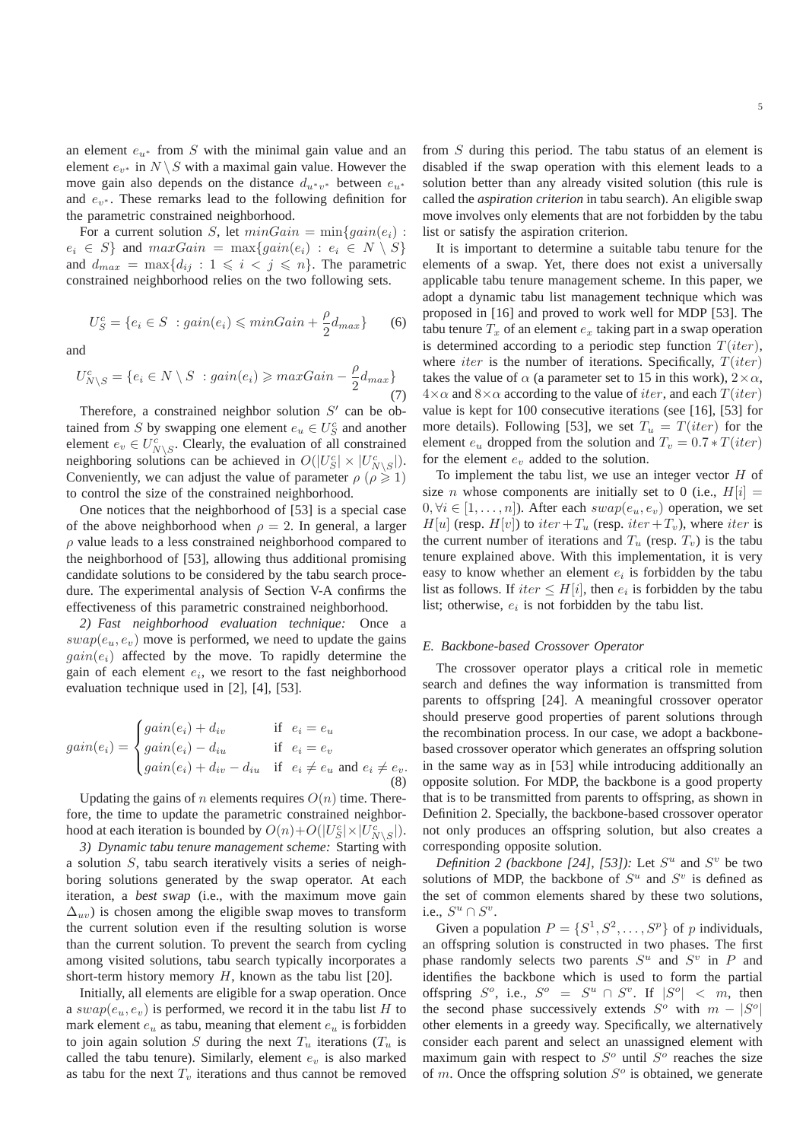an element  $e_{u*}$  from S with the minimal gain value and an element  $e_{v^*}$  in  $N \setminus S$  with a maximal gain value. However the move gain also depends on the distance  $d_{u^*v^*}$  between  $e_{u^*}$ and  $e_{v^*}$ . These remarks lead to the following definition for the parametric constrained neighborhood.

For a current solution S, let  $minGain = min{gain}(e_i)$ :  $e_i \in S$  and  $maxGain = \max\{gain(e_i) : e_i \in N \setminus S\}$ and  $d_{max} = \max\{d_{ij} : 1 \leq i \leq j \leq n\}$ . The parametric constrained neighborhood relies on the two following sets.

$$
U_S^c = \{e_i \in S \ : gain(e_i) \leq \minGain + \frac{\rho}{2} d_{max}\} \tag{6}
$$

and

$$
U_{N\setminus S}^c = \{e_i \in N \setminus S \ : gain(e_i) \geq maxGain - \frac{\rho}{2}d_{max}\}\tag{7}
$$

Therefore, a constrained neighbor solution  $S'$  can be obtained from S by swapping one element  $e_u \in U_S^c$  and another element  $e_v \in U_{N \setminus S}^c$ . Clearly, the evaluation of all constrained neighboring solutions can be achieved in  $O(|U_S^c| \times |U_{N\setminus S}^c|)$ . Conveniently, we can adjust the value of parameter  $\rho$  ( $\rho \geq 1$ ) to control the size of the constrained neighborhood.

One notices that the neighborhood of [53] is a special case of the above neighborhood when  $\rho = 2$ . In general, a larger  $\rho$  value leads to a less constrained neighborhood compared to the neighborhood of [53], allowing thus additional promising candidate solutions to be considered by the tabu search procedure. The experimental analysis of Section V-A confirms the effectiveness of this parametric constrained neighborhood.

*2) Fast neighborhood evaluation technique:* Once a  $swap(e_u, e_v)$  move is performed, we need to update the gains  $gain(e_i)$  affected by the move. To rapidly determine the gain of each element  $e_i$ , we resort to the fast neighborhood evaluation technique used in [2], [4], [53].

$$
gain(e_i) = \begin{cases} gain(e_i) + d_{iv} & \text{if } e_i = e_u \\ gain(e_i) - d_{iu} & \text{if } e_i = e_v \\ gain(e_i) + d_{iv} - d_{iu} & \text{if } e_i \neq e_u \text{ and } e_i \neq e_v. \end{cases}
$$
(8)

Updating the gains of *n* elements requires  $O(n)$  time. Therefore, the time to update the parametric constrained neighborhood at each iteration is bounded by  $O(n) + O(|U_S^c| \times |U_{N \setminus S}^c|)$ .

*3) Dynamic tabu tenure management scheme:* Starting with a solution S, tabu search iteratively visits a series of neighboring solutions generated by the swap operator. At each iteration, a best swap (i.e., with the maximum move gain  $\Delta_{uv}$ ) is chosen among the eligible swap moves to transform the current solution even if the resulting solution is worse than the current solution. To prevent the search from cycling among visited solutions, tabu search typically incorporates a short-term history memory  $H$ , known as the tabu list [20].

Initially, all elements are eligible for a swap operation. Once a  $swap(e_u, e_v)$  is performed, we record it in the tabu list H to mark element  $e_u$  as tabu, meaning that element  $e_u$  is forbidden to join again solution S during the next  $T_u$  iterations ( $T_u$  is called the tabu tenure). Similarly, element  $e_v$  is also marked as tabu for the next  $T_v$  iterations and thus cannot be removed

from S during this period. The tabu status of an element is disabled if the swap operation with this element leads to a solution better than any already visited solution (this rule is called the *aspiration criterion* in tabu search). An eligible swap move involves only elements that are not forbidden by the tabu list or satisfy the aspiration criterion.

It is important to determine a suitable tabu tenure for the elements of a swap. Yet, there does not exist a universally applicable tabu tenure management scheme. In this paper, we adopt a dynamic tabu list management technique which was proposed in [16] and proved to work well for MDP [53]. The tabu tenure  $T_x$  of an element  $e_x$  taking part in a swap operation is determined according to a periodic step function  $T(iter)$ , where *iter* is the number of iterations. Specifically,  $T(iter)$ takes the value of  $\alpha$  (a parameter set to 15 in this work),  $2 \times \alpha$ ,  $4\times\alpha$  and  $8\times\alpha$  according to the value of *iter*, and each  $T(iter)$ value is kept for 100 consecutive iterations (see [16], [53] for more details). Following [53], we set  $T_u = T(iter)$  for the element  $e_u$  dropped from the solution and  $T_v = 0.7 * T(iter)$ for the element  $e<sub>v</sub>$  added to the solution.

To implement the tabu list, we use an integer vector  $H$  of size *n* whose components are initially set to 0 (i.e.,  $H[i] =$  $0, \forall i \in [1, \ldots, n]$ . After each  $swap(e_u, e_v)$  operation, we set  $H[u]$  (resp.  $H[v]$ ) to iter +  $T_u$  (resp. iter +  $T_v$ ), where iter is the current number of iterations and  $T_u$  (resp.  $T_v$ ) is the tabu tenure explained above. With this implementation, it is very easy to know whether an element  $e_i$  is forbidden by the tabu list as follows. If  $iter \leq H[i]$ , then  $e_i$  is forbidden by the tabu list; otherwise,  $e_i$  is not forbidden by the tabu list.

## *E. Backbone-based Crossover Operator*

The crossover operator plays a critical role in memetic search and defines the way information is transmitted from parents to offspring [24]. A meaningful crossover operator should preserve good properties of parent solutions through the recombination process. In our case, we adopt a backbonebased crossover operator which generates an offspring solution in the same way as in [53] while introducing additionally an opposite solution. For MDP, the backbone is a good property that is to be transmitted from parents to offspring, as shown in Definition 2. Specially, the backbone-based crossover operator not only produces an offspring solution, but also creates a corresponding opposite solution.

*Definition 2 (backbone [24], [53]):* Let  $S^u$  and  $S^v$  be two solutions of MDP, the backbone of  $S^u$  and  $S^v$  is defined as the set of common elements shared by these two solutions, i.e.,  $S^u \cap S^v$ .

Given a population  $P = \{S^1, S^2, \dots, S^p\}$  of p individuals, an offspring solution is constructed in two phases. The first phase randomly selects two parents  $S^u$  and  $S^v$  in P and identifies the backbone which is used to form the partial offspring  $S^o$ , i.e.,  $S^o = S^u \cap S^v$ . If  $|S^o| < m$ , then the second phase successively extends  $S^{\circ}$  with  $m - |S^{\circ}|$ other elements in a greedy way. Specifically, we alternatively consider each parent and select an unassigned element with maximum gain with respect to  $S<sup>o</sup>$  until  $S<sup>o</sup>$  reaches the size of m. Once the offspring solution  $S<sup>o</sup>$  is obtained, we generate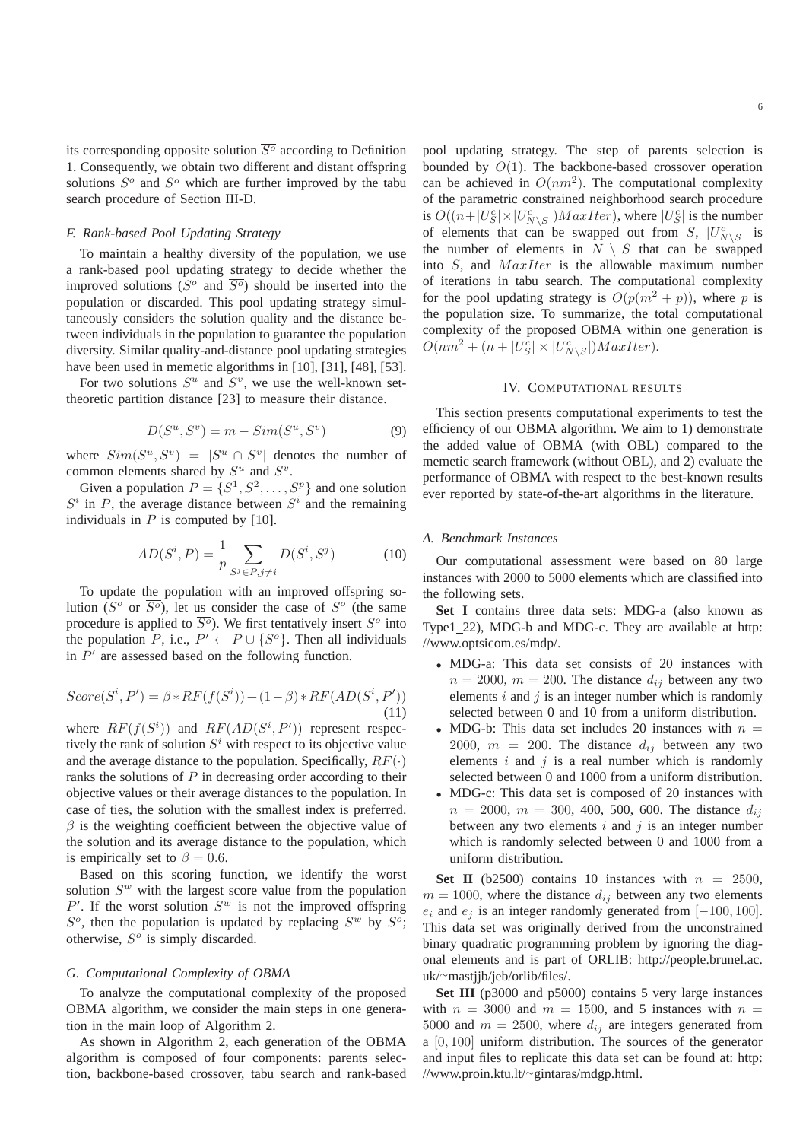its corresponding opposite solution  $\overline{S^o}$  according to Definition 1. Consequently, we obtain two different and distant offspring solutions  $S^{\circ}$  and  $\overline{S^{\circ}}$  which are further improved by the tabu search procedure of Section III-D.

# *F. Rank-based Pool Updating Strategy*

To maintain a healthy diversity of the population, we use a rank-based pool updating strategy to decide whether the improved solutions ( $S^o$  and  $\overline{S^o}$ ) should be inserted into the population or discarded. This pool updating strategy simultaneously considers the solution quality and the distance between individuals in the population to guarantee the population diversity. Similar quality-and-distance pool updating strategies have been used in memetic algorithms in [10], [31], [48], [53].

For two solutions  $S^u$  and  $S^v$ , we use the well-known settheoretic partition distance [23] to measure their distance.

$$
D(S^u, S^v) = m - Sim(S^u, S^v)
$$
\n(9)

where  $Sim(S^u, S^v) = |S^u \cap S^v|$  denotes the number of common elements shared by  $S^u$  and  $S^v$ .

Given a population  $P = \{S^1, S^2, \dots, S^p\}$  and one solution  $S^i$  in P, the average distance between  $S^i$  and the remaining individuals in  $P$  is computed by [10].

$$
AD(S^{i}, P) = \frac{1}{p} \sum_{S^{j} \in P, j \neq i} D(S^{i}, S^{j})
$$
(10)

To update the population with an improved offspring solution ( $S^{\circ}$  or  $\overline{S^{\circ}}$ ), let us consider the case of  $S^{\circ}$  (the same procedure is applied to  $\overline{S^o}$ ). We first tentatively insert  $S^o$  into the population P, i.e.,  $P' \leftarrow P \cup \{S^o\}$ . Then all individuals in  $P'$  are assessed based on the following function.

$$
Score(S^i, P') = \beta * RF(f(S^i)) + (1 - \beta) * RF(AD(S^i, P')) \tag{11}
$$

where  $RF(f(S<sup>i</sup>))$  and  $RF(AD(S<sup>i</sup>, P'))$  represent respectively the rank of solution  $S^i$  with respect to its objective value and the average distance to the population. Specifically,  $RF(\cdot)$ ranks the solutions of  $P$  in decreasing order according to their objective values or their average distances to the population. In case of ties, the solution with the smallest index is preferred.  $\beta$  is the weighting coefficient between the objective value of the solution and its average distance to the population, which is empirically set to  $\beta = 0.6$ .

Based on this scoring function, we identify the worst solution  $S<sup>w</sup>$  with the largest score value from the population  $P'$ . If the worst solution  $S^w$  is not the improved offspring  $S^o$ , then the population is updated by replacing  $S^w$  by  $S^o$ ; otherwise,  $S^{\circ}$  is simply discarded.

## *G. Computational Complexity of OBMA*

To analyze the computational complexity of the proposed OBMA algorithm, we consider the main steps in one generation in the main loop of Algorithm 2.

As shown in Algorithm 2, each generation of the OBMA algorithm is composed of four components: parents selection, backbone-based crossover, tabu search and rank-based pool updating strategy. The step of parents selection is bounded by  $O(1)$ . The backbone-based crossover operation can be achieved in  $O(nm^2)$ . The computational complexity of the parametric constrained neighborhood search procedure is  $O((n+|U_S^c| \times |U_{N\setminus S}^c|)MaxIter)$ , where  $|U_S^c|$  is the number of elements that can be swapped out from S,  $|U_{N\setminus S}^c|$  is the number of elements in  $N \setminus S$  that can be swapped into  $S$ , and  $MaxIter$  is the allowable maximum number of iterations in tabu search. The computational complexity for the pool updating strategy is  $O(p(m^2 + p))$ , where p is the population size. To summarize, the total computational complexity of the proposed OBMA within one generation is  $O(nm^2 + (n+|U_S^c| \times |U_{N\setminus S}^c|)MaxIter).$ 

#### IV. COMPUTATIONAL RESULTS

This section presents computational experiments to test the efficiency of our OBMA algorithm. We aim to 1) demonstrate the added value of OBMA (with OBL) compared to the memetic search framework (without OBL), and 2) evaluate the performance of OBMA with respect to the best-known results ever reported by state-of-the-art algorithms in the literature.

#### *A. Benchmark Instances*

Our computational assessment were based on 80 large instances with 2000 to 5000 elements which are classified into the following sets.

**Set I** contains three data sets: MDG-a (also known as Type1\_22), MDG-b and MDG-c. They are available at http: //www.optsicom.es/mdp/.

- MDG-a: This data set consists of 20 instances with  $n = 2000$ ,  $m = 200$ . The distance  $d_{ij}$  between any two elements  $i$  and  $j$  is an integer number which is randomly selected between 0 and 10 from a uniform distribution.
- MDG-b: This data set includes 20 instances with  $n =$ 2000,  $m = 200$ . The distance  $d_{ij}$  between any two elements  $i$  and  $j$  is a real number which is randomly selected between 0 and 1000 from a uniform distribution.
- MDG-c: This data set is composed of 20 instances with  $n = 2000$ ,  $m = 300$ , 400, 500, 600. The distance  $d_{ij}$ between any two elements  $i$  and  $j$  is an integer number which is randomly selected between 0 and 1000 from a uniform distribution.

**Set II** (b2500) contains 10 instances with  $n = 2500$ ,  $m = 1000$ , where the distance  $d_{ij}$  between any two elements  $e_i$  and  $e_j$  is an integer randomly generated from [−100, 100]. This data set was originally derived from the unconstrained binary quadratic programming problem by ignoring the diagonal elements and is part of ORLIB: http://people.brunel.ac. uk/∼mastjjb/jeb/orlib/files/.

**Set III** (p3000 and p5000) contains 5 very large instances with  $n = 3000$  and  $m = 1500$ , and 5 instances with  $n =$ 5000 and  $m = 2500$ , where  $d_{ij}$  are integers generated from a [0, 100] uniform distribution. The sources of the generator and input files to replicate this data set can be found at: http: //www.proin.ktu.lt/∼gintaras/mdgp.html.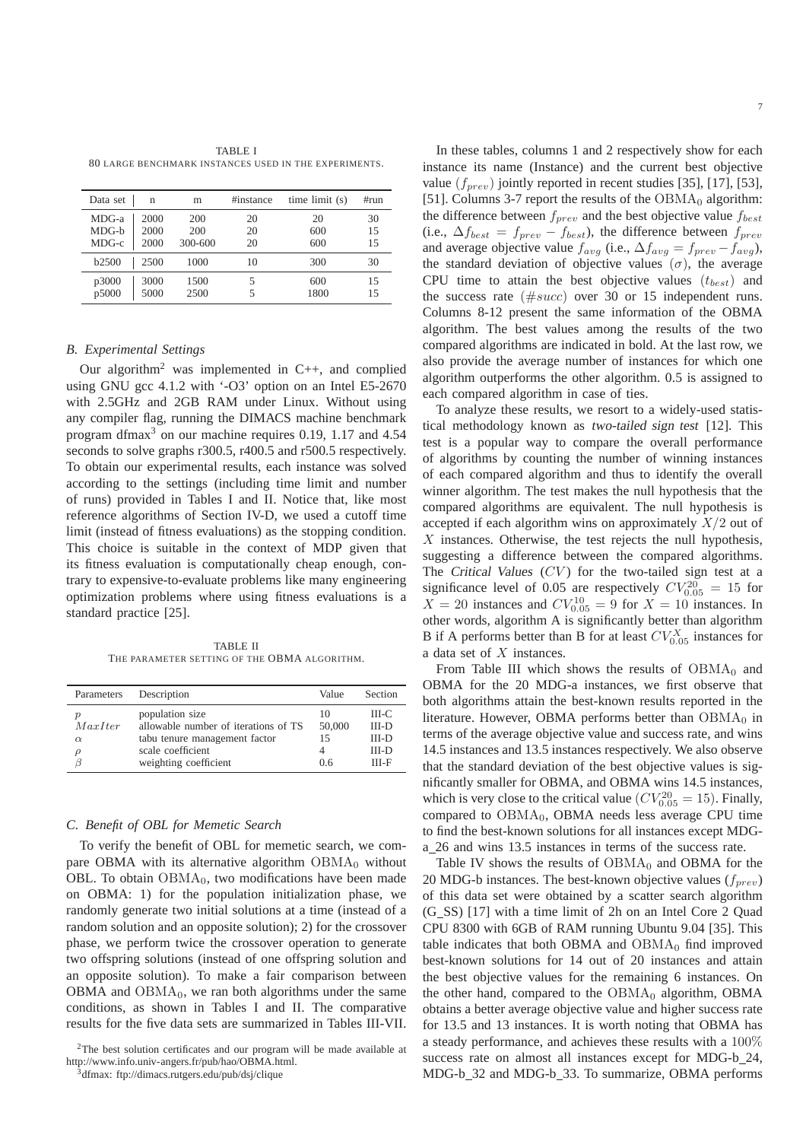TABLE I 80 LARGE BENCHMARK INSTANCES USED IN THE EXPERIMENTS.

| Data set     | n    | m       | #instance | time limit (s) | #run |
|--------------|------|---------|-----------|----------------|------|
| $MDG-a$      | 2000 | 200     | 20        | 20             | 30   |
| $MDG-h$      | 2000 | 200     | 20        | 600            | 15   |
| MDG-c        | 2000 | 300-600 | 20        | 600            | 15   |
| <b>b2500</b> | 2500 | 1000    | 10        | 300            | 30   |
| p3000        | 3000 | 1500    |           | 600            | 15   |
| p5000        | 5000 | 2500    |           | 1800           | 15   |

## *B. Experimental Settings*

Our algorithm<sup>2</sup> was implemented in  $C_{++}$ , and complied using GNU gcc 4.1.2 with '-O3' option on an Intel E5-2670 with 2.5GHz and 2GB RAM under Linux. Without using any compiler flag, running the DIMACS machine benchmark program dfmax<sup>3</sup> on our machine requires 0.19, 1.17 and 4.54 seconds to solve graphs r300.5, r400.5 and r500.5 respectively. To obtain our experimental results, each instance was solved according to the settings (including time limit and number of runs) provided in Tables I and II. Notice that, like most reference algorithms of Section IV-D, we used a cutoff time limit (instead of fitness evaluations) as the stopping condition. This choice is suitable in the context of MDP given that its fitness evaluation is computationally cheap enough, contrary to expensive-to-evaluate problems like many engineering optimization problems where using fitness evaluations is a standard practice [25].

TABLE II THE PARAMETER SETTING OF THE OBMA ALGORITHM.

| Parameters                    | Description                                                                                                                            | Value                     | Section                                         |
|-------------------------------|----------------------------------------------------------------------------------------------------------------------------------------|---------------------------|-------------------------------------------------|
| р<br>MaxIter<br>$\alpha$<br>ρ | population size<br>allowable number of iterations of TS<br>tabu tenure management factor<br>scale coefficient<br>weighting coefficient | 10<br>50,000<br>15<br>0.6 | III-C<br>$III-D$<br>$III-D$<br>$III-D$<br>III-F |

## *C. Benefit of OBL for Memetic Search*

To verify the benefit of OBL for memetic search, we compare OBMA with its alternative algorithm  $OBMA<sub>0</sub>$  without OBL. To obtain  $OBMA_0$ , two modifications have been made on OBMA: 1) for the population initialization phase, we randomly generate two initial solutions at a time (instead of a random solution and an opposite solution); 2) for the crossover phase, we perform twice the crossover operation to generate two offspring solutions (instead of one offspring solution and an opposite solution). To make a fair comparison between OBMA and  $OBMA_0$ , we ran both algorithms under the same conditions, as shown in Tables I and II. The comparative results for the five data sets are summarized in Tables III-VII.

In these tables, columns 1 and 2 respectively show for each instance its name (Instance) and the current best objective value  $(f_{prev})$  jointly reported in recent studies [35], [17], [53], [51]. Columns 3-7 report the results of the  $OBMA<sub>0</sub>$  algorithm: the difference between  $f_{prev}$  and the best objective value  $f_{best}$ (i.e.,  $\Delta f_{best} = f_{prev} - f_{best}$ ), the difference between  $f_{prev}$ and average objective value  $f_{avg}$  (i.e.,  $\Delta f_{avg} = f_{prev} - f_{avg}$ ), the standard deviation of objective values  $(\sigma)$ , the average CPU time to attain the best objective values  $(t_{best})$  and the success rate  $(\#succ)$  over 30 or 15 independent runs. Columns 8-12 present the same information of the OBMA algorithm. The best values among the results of the two compared algorithms are indicated in bold. At the last row, we also provide the average number of instances for which one algorithm outperforms the other algorithm. 0.5 is assigned to each compared algorithm in case of ties.

To analyze these results, we resort to a widely-used statistical methodology known as two-tailed sign test [12]. This test is a popular way to compare the overall performance of algorithms by counting the number of winning instances of each compared algorithm and thus to identify the overall winner algorithm. The test makes the null hypothesis that the compared algorithms are equivalent. The null hypothesis is accepted if each algorithm wins on approximately  $X/2$  out of  $X$  instances. Otherwise, the test rejects the null hypothesis, suggesting a difference between the compared algorithms. The Critical Values  $(CV)$  for the two-tailed sign test at a significance level of 0.05 are respectively  $CV_{0.05}^{20} = 15$  for  $X = 20$  instances and  $CV_{0.05}^{10} = 9$  for  $X = 10$  instances. In other words, algorithm A is significantly better than algorithm B if A performs better than B for at least  $CV_{0.05}^X$  instances for a data set of X instances.

From Table III which shows the results of  $OBMA<sub>0</sub>$  and OBMA for the 20 MDG-a instances, we first observe that both algorithms attain the best-known results reported in the literature. However, OBMA performs better than  $OBMA<sub>0</sub>$  in terms of the average objective value and success rate, and wins 14.5 instances and 13.5 instances respectively. We also observe that the standard deviation of the best objective values is significantly smaller for OBMA, and OBMA wins 14.5 instances, which is very close to the critical value ( $CV_{0.05}^{20} = 15$ ). Finally, compared to  $OBMA<sub>0</sub>$ ,  $OBMA$  needs less average CPU time to find the best-known solutions for all instances except MDGa 26 and wins 13.5 instances in terms of the success rate.

Table IV shows the results of  $OBMA<sub>0</sub>$  and OBMA for the 20 MDG-b instances. The best-known objective values  $(f_{prev})$ of this data set were obtained by a scatter search algorithm (G SS) [17] with a time limit of 2h on an Intel Core 2 Quad CPU 8300 with 6GB of RAM running Ubuntu 9.04 [35]. This table indicates that both OBMA and  $OBMA<sub>0</sub>$  find improved best-known solutions for 14 out of 20 instances and attain the best objective values for the remaining 6 instances. On the other hand, compared to the  $OBMA<sub>0</sub>$  algorithm, OBMA obtains a better average objective value and higher success rate for 13.5 and 13 instances. It is worth noting that OBMA has a steady performance, and achieves these results with a 100% success rate on almost all instances except for MDG-b\_24, MDG-b\_32 and MDG-b\_33. To summarize, OBMA performs

 $2$ The best solution certificates and our program will be made available at http://www.info.univ-angers.fr/pub/hao/OBMA.html.

<sup>3</sup>dfmax: ftp://dimacs.rutgers.edu/pub/dsj/clique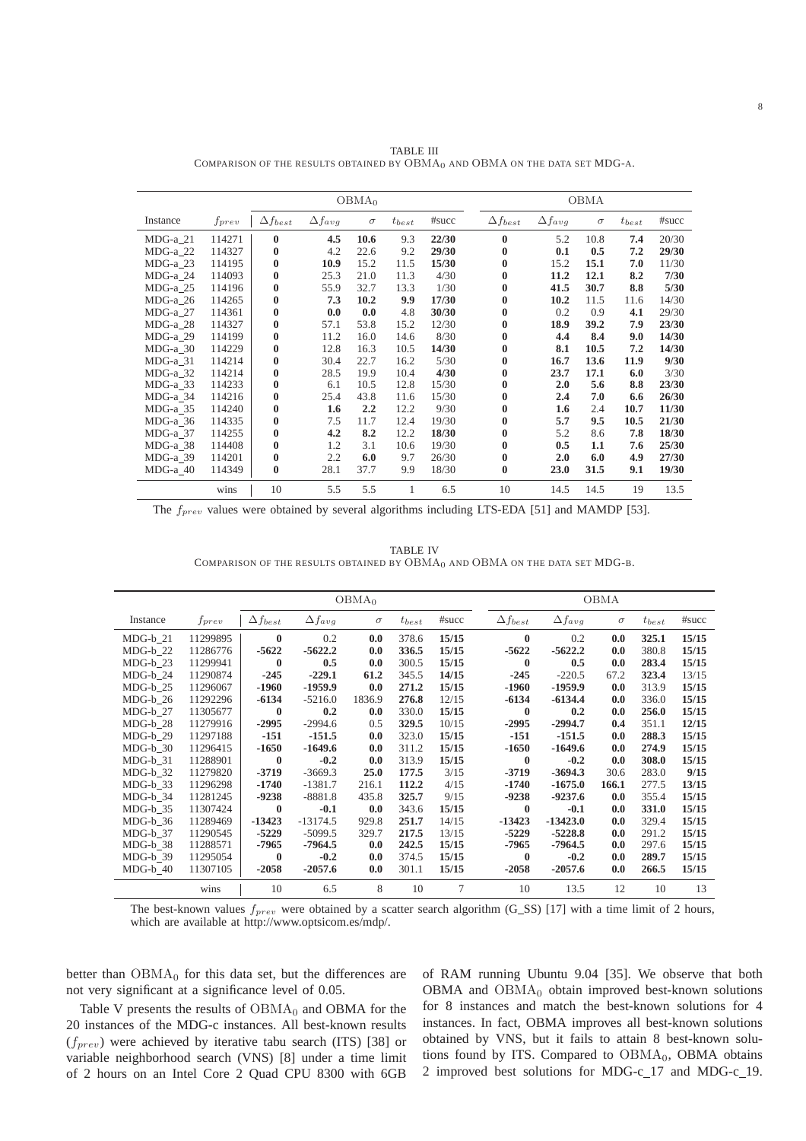|            |            |                   |                  | OBMA <sub>0</sub> |            |       |                   |                  |      | OBMA     |            |       |
|------------|------------|-------------------|------------------|-------------------|------------|-------|-------------------|------------------|------|----------|------------|-------|
| Instance   | $f_{prev}$ | $\Delta f_{best}$ | $\Delta f_{avg}$ | $\sigma$          | $t_{best}$ | #succ | $\Delta f_{best}$ | $\Delta f_{avg}$ |      | $\sigma$ | $t_{best}$ | #succ |
| $MDG-a_21$ | 114271     | $\bf{0}$          | 4.5              | 10.6              | 9.3        | 22/30 | $\bf{0}$          |                  | 5.2  | 10.8     | 7.4        | 20/30 |
| $MDG-a_22$ | 114327     | $\bf{0}$          | 4.2              | 22.6              | 9.2        | 29/30 | $\mathbf{0}$      |                  | 0.1  | 0.5      | 7.2        | 29/30 |
| MDG-a 23   | 114195     | $\bf{0}$          | 10.9             | 15.2              | 11.5       | 15/30 | $\mathbf{0}$      |                  | 15.2 | 15.1     | 7.0        | 11/30 |
| MDG-a 24   | 114093     | $\bf{0}$          | 25.3             | 21.0              | 11.3       | 4/30  | $\bf{0}$          |                  | 11.2 | 12.1     | 8.2        | 7/30  |
| MDG-a 25   | 114196     | $\bf{0}$          | 55.9             | 32.7              | 13.3       | 1/30  | $\bf{0}$          |                  | 41.5 | 30.7     | 8.8        | 5/30  |
| MDG-a 26   | 114265     | $\mathbf{0}$      | 7.3              | 10.2              | 9.9        | 17/30 | $\mathbf{0}$      |                  | 10.2 | 11.5     | 11.6       | 14/30 |
| MDG-a 27   | 114361     | $\bf{0}$          | 0.0              | 0.0               | 4.8        | 30/30 | $\bf{0}$          |                  | 0.2  | 0.9      | 4.1        | 29/30 |
| MDG-a 28   | 114327     | $\bf{0}$          | 57.1             | 53.8              | 15.2       | 12/30 | $\bf{0}$          |                  | 18.9 | 39.2     | 7.9        | 23/30 |
| MDG-a 29   | 114199     | $\bf{0}$          | 11.2             | 16.0              | 14.6       | 8/30  | $\bf{0}$          |                  | 4.4  | 8.4      | 9.0        | 14/30 |
| MDG-a 30   | 114229     | $\bf{0}$          | 12.8             | 16.3              | 10.5       | 14/30 | $\bf{0}$          |                  | 8.1  | 10.5     | 7.2        | 14/30 |
| MDG-a 31   | 114214     | $\bf{0}$          | 30.4             | 22.7              | 16.2       | 5/30  | $\bf{0}$          |                  | 16.7 | 13.6     | 11.9       | 9/30  |
| MDG-a 32   | 114214     | $\bf{0}$          | 28.5             | 19.9              | 10.4       | 4/30  | $\bf{0}$          |                  | 23.7 | 17.1     | 6.0        | 3/30  |
| MDG-a 33   | 114233     | $\bf{0}$          | 6.1              | 10.5              | 12.8       | 15/30 | $\bf{0}$          |                  | 2.0  | 5.6      | 8.8        | 23/30 |
| $MDG-a_34$ | 114216     | $\bf{0}$          | 25.4             | 43.8              | 11.6       | 15/30 | $\bf{0}$          |                  | 2.4  | 7.0      | 6.6        | 26/30 |
| MDG-a 35   | 114240     | $\bf{0}$          | 1.6              | 2.2               | 12.2       | 9/30  | $\bf{0}$          |                  | 1.6  | 2.4      | 10.7       | 11/30 |
| $MDG-a_36$ | 114335     | $\bf{0}$          | 7.5              | 11.7              | 12.4       | 19/30 | $\mathbf{0}$      |                  | 5.7  | 9.5      | 10.5       | 21/30 |
| $MDG-a_37$ | 114255     | $\bf{0}$          | 4.2              | 8.2               | 12.2       | 18/30 | $\mathbf{0}$      |                  | 5.2  | 8.6      | 7.8        | 18/30 |
| $MDG-a_38$ | 114408     | $\bf{0}$          | 1.2              | 3.1               | 10.6       | 19/30 | $\bf{0}$          |                  | 0.5  | 1.1      | 7.6        | 25/30 |
| MDG-a_39   | 114201     | $\bf{0}$          | 2.2              | 6.0               | 9.7        | 26/30 | $\mathbf{0}$      |                  | 2.0  | 6.0      | 4.9        | 27/30 |
| $MDG-a_40$ | 114349     | $\bf{0}$          | 28.1             | 37.7              | 9.9        | 18/30 | $\bf{0}$          |                  | 23.0 | 31.5     | 9.1        | 19/30 |
|            | wins       | 10                | 5.5              | 5.5               | 1          | 6.5   | 10                |                  | 14.5 | 14.5     | 19         | 13.5  |

TABLE III COMPARISON OF THE RESULTS OBTAINED BY OBMA<sub>0</sub> AND OBMA ON THE DATA SET MDG-A.

The  $f_{prev}$  values were obtained by several algorithms including LTS-EDA [51] and MAMDP [53].

TABLE IV COMPARISON OF THE RESULTS OBTAINED BY OBMA<sub>0</sub> AND OBMA ON THE DATA SET MDG-B.

|            |            | OBMA <sub>0</sub><br>OBMA |                  |          |            |       |                   |                  |          |            |       |
|------------|------------|---------------------------|------------------|----------|------------|-------|-------------------|------------------|----------|------------|-------|
| Instance   | $f_{prev}$ | $\Delta f_{best}$         | $\Delta f_{avg}$ | $\sigma$ | $t_{best}$ | #succ | $\Delta f_{best}$ | $\Delta f_{avg}$ | $\sigma$ | $t_{best}$ | #succ |
| $MDG-b$ 21 | 11299895   | $\bf{0}$                  | 0.2              | 0.0      | 378.6      | 15/15 | $\mathbf{0}$      | 0.2              | 0.0      | 325.1      | 15/15 |
| MDG-b 22   | 11286776   | $-5622$                   | $-5622.2$        | 0.0      | 336.5      | 15/15 | $-5622$           | $-5622.2$        | 0.0      | 380.8      | 15/15 |
| MDG-b 23   | 11299941   | $\bf{0}$                  | 0.5              | 0.0      | 300.5      | 15/15 | $\mathbf{0}$      | 0.5              | 0.0      | 283.4      | 15/15 |
| MDG-b 24   | 11290874   | $-245$                    | $-229.1$         | 61.2     | 345.5      | 14/15 | $-245$            | $-220.5$         | 67.2     | 323.4      | 13/15 |
| $MDG-b$ 25 | 11296067   | $-1960$                   | $-1959.9$        | 0.0      | 271.2      | 15/15 | $-1960$           | $-1959.9$        | 0.0      | 313.9      | 15/15 |
| $MDG-b$ 26 | 11292296   | $-6134$                   | $-5216.0$        | 1836.9   | 276.8      | 12/15 | $-6134$           | $-6134.4$        | 0.0      | 336.0      | 15/15 |
| $MDG-b$ 27 | 11305677   | $\mathbf{0}$              | 0.2              | 0.0      | 330.0      | 15/15 | $\mathbf{0}$      | 0.2              | 0.0      | 256.0      | 15/15 |
| MDG-b 28   | 11279916   | $-2995$                   | $-2994.6$        | 0.5      | 329.5      | 10/15 | $-2995$           | $-2994.7$        | 0.4      | 351.1      | 12/15 |
| MDG-b 29   | 11297188   | $-151$                    | $-151.5$         | 0.0      | 323.0      | 15/15 | $-151$            | $-151.5$         | 0.0      | 288.3      | 15/15 |
| $MDG-b_30$ | 11296415   | $-1650$                   | $-1649.6$        | 0.0      | 311.2      | 15/15 | $-1650$           | $-1649.6$        | 0.0      | 274.9      | 15/15 |
| $MDG-b$ 31 | 11288901   | $\bf{0}$                  | $-0.2$           | 0.0      | 313.9      | 15/15 | $\mathbf{0}$      | $-0.2$           | 0.0      | 308.0      | 15/15 |
| MDG-b 32   | 11279820   | $-3719$                   | $-3669.3$        | 25.0     | 177.5      | 3/15  | $-3719$           | $-3694.3$        | 30.6     | 283.0      | 9/15  |
| MDG-b 33   | 11296298   | $-1740$                   | $-1381.7$        | 216.1    | 112.2      | 4/15  | $-1740$           | $-1675.0$        | 166.1    | 277.5      | 13/15 |
| MDG-b 34   | 11281245   | $-9238$                   | $-8881.8$        | 435.8    | 325.7      | 9/15  | $-9238$           | $-9237.6$        | 0.0      | 355.4      | 15/15 |
| $MDG-b_35$ | 11307424   | $\mathbf{0}$              | $-0.1$           | 0.0      | 343.6      | 15/15 | $\mathbf{0}$      | $-0.1$           | 0.0      | 331.0      | 15/15 |
| $MDG-b_36$ | 11289469   | $-13423$                  | $-13174.5$       | 929.8    | 251.7      | 14/15 | $-13423$          | $-13423.0$       | 0.0      | 329.4      | 15/15 |
| MDG-b 37   | 11290545   | $-5229$                   | $-5099.5$        | 329.7    | 217.5      | 13/15 | $-5229$           | $-5228.8$        | 0.0      | 291.2      | 15/15 |
| MDG-b 38   | 11288571   | -7965                     | $-7964.5$        | 0.0      | 242.5      | 15/15 | -7965             | $-7964.5$        | 0.0      | 297.6      | 15/15 |
| MDG-b 39   | 11295054   | $\mathbf{0}$              | $-0.2$           | 0.0      | 374.5      | 15/15 | $\mathbf{0}$      | $-0.2$           | 0.0      | 289.7      | 15/15 |
| $MDG-b$ 40 | 11307105   | $-2058$                   | $-2057.6$        | 0.0      | 301.1      | 15/15 | $-2058$           | $-2057.6$        | 0.0      | 266.5      | 15/15 |
|            | wins       | 10                        | 6.5              | 8        | 10         | 7     | 10                | 13.5             | 12       | 10         | 13    |

The best-known values  $f_{prev}$  were obtained by a scatter search algorithm (G\_SS) [17] with a time limit of 2 hours, which are available at http://www.optsicom.es/mdp/.

better than  $OBMA<sub>0</sub>$  for this data set, but the differences are not very significant at a significance level of 0.05.

Table V presents the results of  $OBMA<sub>0</sub>$  and OBMA for the 20 instances of the MDG-c instances. All best-known results  $(f_{prev})$  were achieved by iterative tabu search (ITS) [38] or variable neighborhood search (VNS) [8] under a time limit of 2 hours on an Intel Core 2 Quad CPU 8300 with 6GB

of RAM running Ubuntu 9.04 [35]. We observe that both OBMA and  $OBMA<sub>0</sub>$  obtain improved best-known solutions for 8 instances and match the best-known solutions for 4 instances. In fact, OBMA improves all best-known solutions obtained by VNS, but it fails to attain 8 best-known solutions found by ITS. Compared to  $OBMA<sub>0</sub>$ , OBMA obtains 2 improved best solutions for MDG-c 17 and MDG-c 19.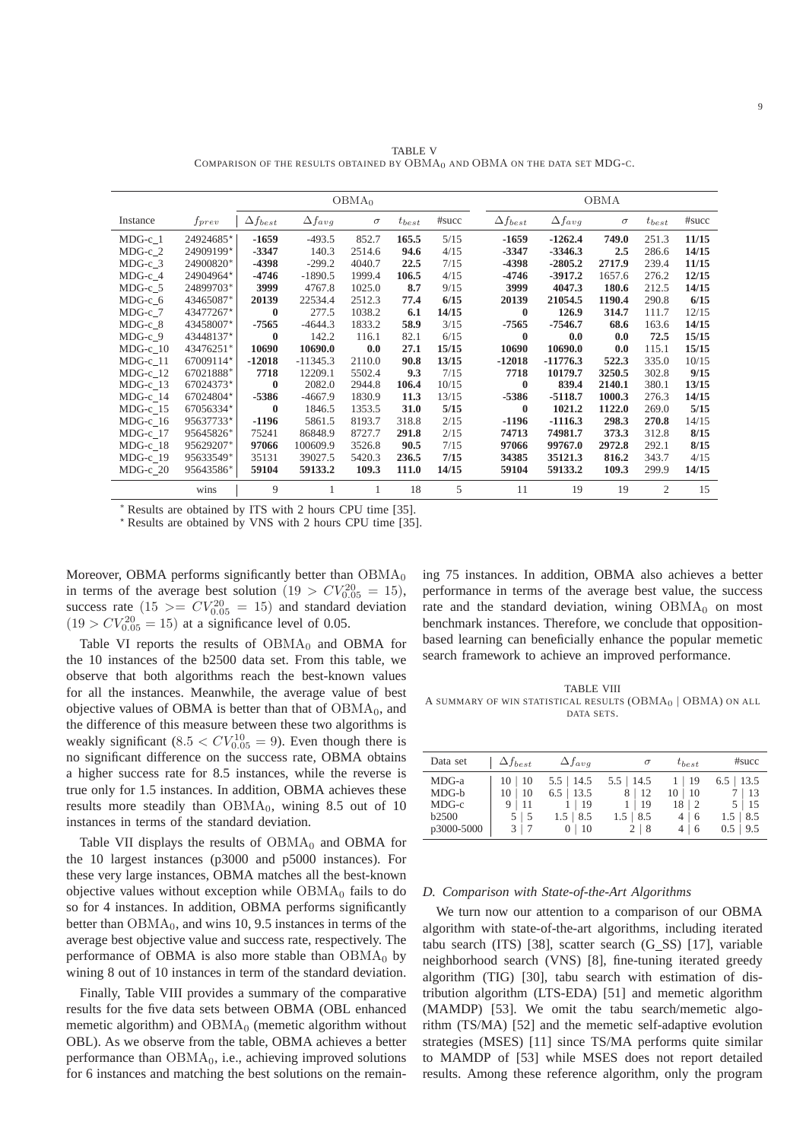9

|            |            |                   |                  | OBMA <sub>0</sub> |             |       |  |                   |                  | OBMA     |                |       |
|------------|------------|-------------------|------------------|-------------------|-------------|-------|--|-------------------|------------------|----------|----------------|-------|
| Instance   | $f_{prev}$ | $\Delta f_{best}$ | $\Delta f_{avg}$ | $\sigma$          | $t_{best}$  | #succ |  | $\Delta f_{best}$ | $\Delta f_{avg}$ | $\sigma$ | $t_{best}$     | #succ |
| $MDG-c$ 1  | 24924685*  | $-1659$           | $-493.5$         | 852.7             | 165.5       | 5/15  |  | $-1659$           | $-1262.4$        | 749.0    | 251.3          | 11/15 |
| $MDG-c$ 2  | 24909199*  | $-3347$           | 140.3            | 2514.6            | 94.6        | 4/15  |  | $-3347$           | $-3346.3$        | 2.5      | 286.6          | 14/15 |
| $MDG-c$ 3  | 24900820*  | -4398             | $-299.2$         | 4040.7            | 22.5        | 7/15  |  | -4398             | $-2805.2$        | 2717.9   | 239.4          | 11/15 |
| MDG-c 4    | 24904964*  | $-4746$           | $-1890.5$        | 1999.4            | 106.5       | 4/15  |  | -4746             | $-3917.2$        | 1657.6   | 276.2          | 12/15 |
| $MDG-c_5$  | 24899703*  | 3999              | 4767.8           | 1025.0            | 8.7         | 9/15  |  | 3999              | 4047.3           | 180.6    | 212.5          | 14/15 |
| MDG-c 6    | 43465087*  | 20139             | 22534.4          | 2512.3            | 77.4        | 6/15  |  | 20139             | 21054.5          | 1190.4   | 290.8          | 6/15  |
| MDG-c 7    | 43477267*  | $\bf{0}$          | 277.5            | 1038.2            | 6.1         | 14/15 |  | $\bf{0}$          | 126.9            | 314.7    | 111.7          | 12/15 |
| $MDG-c$ 8  | 43458007*  | $-7565$           | $-4644.3$        | 1833.2            | 58.9        | 3/15  |  | $-7565$           | $-7546.7$        | 68.6     | 163.6          | 14/15 |
| MDG-c 9    | 43448137*  | $\bf{0}$          | 142.2            | 116.1             | 82.1        | 6/15  |  | $\mathbf{0}$      | 0.0              | 0.0      | 72.5           | 15/15 |
| $MDG-c$ 10 | 43476251*  | 10690             | 10690.0          | 0.0               | 27.1        | 15/15 |  | 10690             | 10690.0          | 0.0      | 115.1          | 15/15 |
| $MDG-c_11$ | 67009114*  | $-12018$          | $-11345.3$       | 2110.0            | 90.8        | 13/15 |  | $-12018$          | $-11776.3$       | 522.3    | 335.0          | 10/15 |
| $MDG-c_12$ | 67021888*  | 7718              | 12209.1          | 5502.4            | 9.3         | 7/15  |  | 7718              | 10179.7          | 3250.5   | 302.8          | 9/15  |
| $MDG-c_13$ | 67024373*  | $\bf{0}$          | 2082.0           | 2944.8            | 106.4       | 10/15 |  | $\mathbf{0}$      | 839.4            | 2140.1   | 380.1          | 13/15 |
| MDG-c 14   | 67024804*  | -5386             | $-4667.9$        | 1830.9            | 11.3        | 13/15 |  | -5386             | $-5118.7$        | 1000.3   | 276.3          | 14/15 |
| $MDG-c$ 15 | 67056334*  | $\mathbf{0}$      | 1846.5           | 1353.5            | <b>31.0</b> | 5/15  |  | $\mathbf{0}$      | 1021.2           | 1122.0   | 269.0          | 5/15  |
| $MDG-c_16$ | 95637733*  | $-1196$           | 5861.5           | 8193.7            | 318.8       | 2/15  |  | $-1196$           | $-1116.3$        | 298.3    | 270.8          | 14/15 |
| $MDG-c$ 17 | 95645826*  | 75241             | 86848.9          | 8727.7            | 291.8       | 2/15  |  | 74713             | 74981.7          | 373.3    | 312.8          | 8/15  |
| $MDG-c_18$ | 95629207*  | 97066             | 100609.9         | 3526.8            | 90.5        | 7/15  |  | 97066             | 99767.0          | 2972.8   | 292.1          | 8/15  |
| $MDG-c_19$ | 95633549*  | 35131             | 39027.5          | 5420.3            | 236.5       | 7/15  |  | 34385             | 35121.3          | 816.2    | 343.7          | 4/15  |
| $MDG-c$ 20 | 95643586*  | 59104             | 59133.2          | 109.3             | 111.0       | 14/15 |  | 59104             | 59133.2          | 109.3    | 299.9          | 14/15 |
|            | wins       | 9                 | 1                | 1                 | 18          | 5     |  | 11                | 19               | 19       | $\overline{2}$ | 15    |

TABLE V COMPARISON OF THE RESULTS OBTAINED BY OBMA<sub>0</sub> AND OBMA ON THE DATA SET MDG-C.

<sup>∗</sup> Results are obtained by ITS with 2 hours CPU time [35].

<sup>⋆</sup> Results are obtained by VNS with 2 hours CPU time [35].

Moreover, OBMA performs significantly better than  $OBMA<sub>0</sub>$ in terms of the average best solution  $(19 > CV_{0.05}^{20} = 15)$ , success rate  $(15 \gt) = CV_{0.05}^{20} = 15)$  and standard deviation  $(19 > CV_{0.05}^{20} = 15)$  at a significance level of 0.05.

Table VI reports the results of  $OBMA<sub>0</sub>$  and OBMA for the 10 instances of the b2500 data set. From this table, we observe that both algorithms reach the best-known values for all the instances. Meanwhile, the average value of best objective values of OBMA is better than that of  $OBMA<sub>0</sub>$ , and the difference of this measure between these two algorithms is weakly significant  $(8.5 < CV_{0.05}^{10} = 9)$ . Even though there is no significant difference on the success rate, OBMA obtains a higher success rate for 8.5 instances, while the reverse is true only for 1.5 instances. In addition, OBMA achieves these results more steadily than  $OBMA_0$ , wining 8.5 out of 10 instances in terms of the standard deviation.

Table VII displays the results of  $OBMA<sub>0</sub>$  and OBMA for the 10 largest instances (p3000 and p5000 instances). For these very large instances, OBMA matches all the best-known objective values without exception while  $OBMA<sub>0</sub>$  fails to do so for 4 instances. In addition, OBMA performs significantly better than  $OBMA<sub>0</sub>$ , and wins 10, 9.5 instances in terms of the average best objective value and success rate, respectively. The performance of OBMA is also more stable than  $OBMA<sub>0</sub>$  by wining 8 out of 10 instances in term of the standard deviation.

Finally, Table VIII provides a summary of the comparative results for the five data sets between OBMA (OBL enhanced memetic algorithm) and  $OBMA<sub>0</sub>$  (memetic algorithm without OBL). As we observe from the table, OBMA achieves a better performance than OBMA<sub>0</sub>, i.e., achieving improved solutions for 6 instances and matching the best solutions on the remaining 75 instances. In addition, OBMA also achieves a better performance in terms of the average best value, the success rate and the standard deviation, wining  $OBMA<sub>0</sub>$  on most benchmark instances. Therefore, we conclude that oppositionbased learning can beneficially enhance the popular memetic search framework to achieve an improved performance.

TABLE VIII A SUMMARY OF WIN STATISTICAL RESULTS  $(OBMA<sub>0</sub> | OBMA)$  ON ALL DATA SETS.

| Data set                                              | $\Delta f_{best}$                                             | $\Delta f_{avg}$                                                              | $\sigma$                                                               | $t_{best}$                                          | #succ                                                                   |
|-------------------------------------------------------|---------------------------------------------------------------|-------------------------------------------------------------------------------|------------------------------------------------------------------------|-----------------------------------------------------|-------------------------------------------------------------------------|
| MDG-a<br>MDG-b<br>MDG-c<br><b>b2500</b><br>p3000-5000 | 10   10<br>10   10<br>$9 \mid 11$<br>$5 \mid 5$<br>$3 \mid 7$ | $5.5$   14.5<br>$6.5$   13.5<br>$1 \mid 19$<br>$1.5 \, \, 8.5$<br>$0 \mid 10$ | $5.5$   14.5<br>8   12<br>$1 \mid 19$<br>$1.5 \, \, 8.5$<br>$2 \mid 8$ | $1 \mid 19$<br>10   10<br>$18 \mid 2$<br>4 6<br>4 6 | $6.5$   13.5<br>7   13<br>$5 \mid 15$<br>$1.5 \, \, 8.5$<br>$0.5$   9.5 |

#### *D. Comparison with State-of-the-Art Algorithms*

We turn now our attention to a comparison of our OBMA algorithm with state-of-the-art algorithms, including iterated tabu search (ITS) [38], scatter search (G SS) [17], variable neighborhood search (VNS) [8], fine-tuning iterated greedy algorithm (TIG) [30], tabu search with estimation of distribution algorithm (LTS-EDA) [51] and memetic algorithm (MAMDP) [53]. We omit the tabu search/memetic algorithm (TS/MA) [52] and the memetic self-adaptive evolution strategies (MSES) [11] since TS/MA performs quite similar to MAMDP of [53] while MSES does not report detailed results. Among these reference algorithm, only the program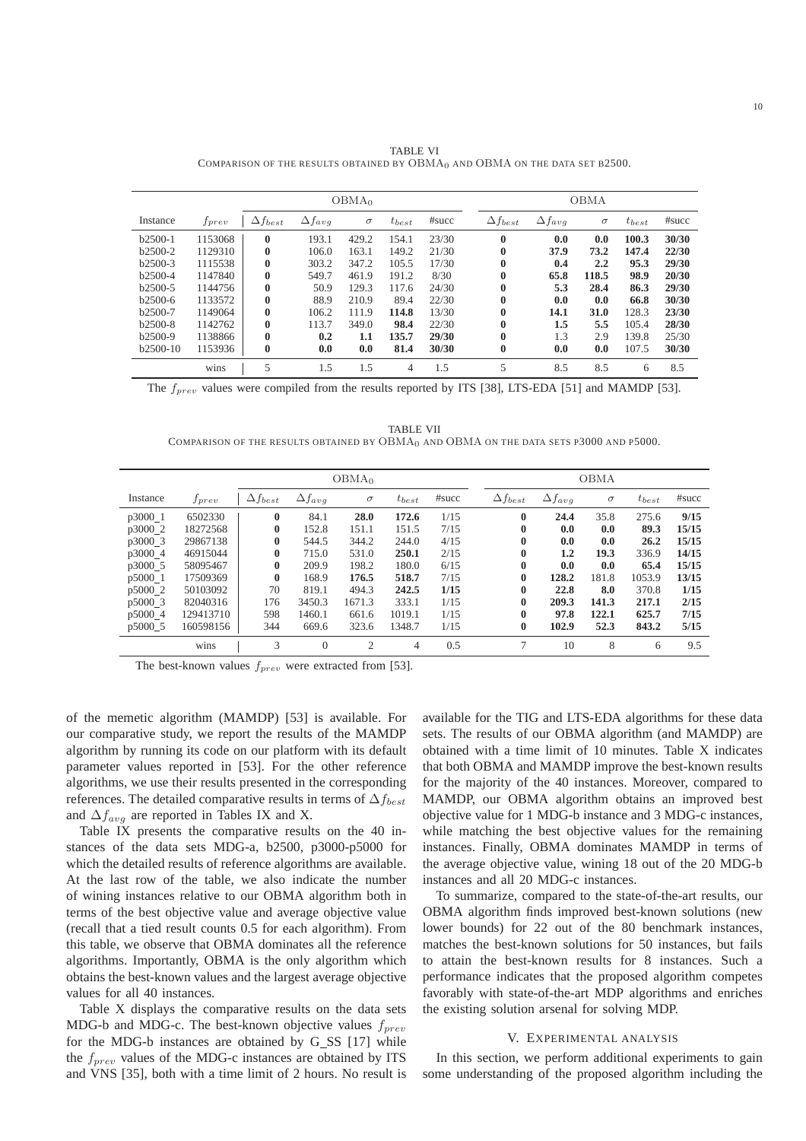|           |            |                   | OBMA <sub>0</sub> |          |            |       |                   | OBMA             |          |            |       |  |  |  |
|-----------|------------|-------------------|-------------------|----------|------------|-------|-------------------|------------------|----------|------------|-------|--|--|--|
| Instance  | $f_{prev}$ | $\Delta f_{best}$ | $\Delta f_{avg}$  | $\sigma$ | $t_{best}$ | #succ | $\Delta f_{best}$ | $\Delta f_{avg}$ | $\sigma$ | $t_{best}$ | #succ |  |  |  |
| $b2500-1$ | 1153068    | $\bf{0}$          | 193.1             | 429.2    | 154.1      | 23/30 | $\mathbf{0}$      | 0.0              | 0.0      | 100.3      | 30/30 |  |  |  |
| $b2500-2$ | 1129310    | $\bf{0}$          | 106.0             | 163.1    | 149.2      | 21/30 | $\bf{0}$          | 37.9             | 73.2     | 147.4      | 22/30 |  |  |  |
| $b2500-3$ | 1115538    | $\bf{0}$          | 303.2             | 347.2    | 105.5      | 17/30 | $\bf{0}$          | 0.4              | 2.2      | 95.3       | 29/30 |  |  |  |
| $b2500-4$ | 1147840    | $\bf{0}$          | 549.7             | 461.9    | 191.2      | 8/30  | $\bf{0}$          | 65.8             | 118.5    | 98.9       | 20/30 |  |  |  |
| $b2500-5$ | 1144756    | $\bf{0}$          | 50.9              | 129.3    | 117.6      | 24/30 | $\bf{0}$          | 5.3              | 28.4     | 86.3       | 29/30 |  |  |  |
| $b2500-6$ | 1133572    | $\bf{0}$          | 88.9              | 210.9    | 89.4       | 22/30 | $\bf{0}$          | 0.0              | 0.0      | 66.8       | 30/30 |  |  |  |
| b2500-7   | 1149064    | $\bf{0}$          | 106.2             | 111.9    | 114.8      | 13/30 | $\bf{0}$          | 14.1             | 31.0     | 128.3      | 23/30 |  |  |  |
| $b2500-8$ | 1142762    | $\bf{0}$          | 113.7             | 349.0    | 98.4       | 22/30 | $\bf{0}$          | 1.5              | 5.5      | 105.4      | 28/30 |  |  |  |
| b2500-9   | 1138866    | $\bf{0}$          | 0.2               | 1.1      | 135.7      | 29/30 | $\bf{0}$          | 1.3              | 2.9      | 139.8      | 25/30 |  |  |  |
| b2500-10  | 1153936    | $\bf{0}$          | 0.0               | 0.0      | 81.4       | 30/30 | $\bf{0}$          | 0.0              | 0.0      | 107.5      | 30/30 |  |  |  |
|           | wins       | 5                 | 1.5               | 1.5      | 4          | 1.5   | 5                 | 8.5              | 8.5      | 6          | 8.5   |  |  |  |

TABLE VI COMPARISON OF THE RESULTS OBTAINED BY  $OBMA_0$  and  $OBMA$  on the data set B2500.

The  $f_{prev}$  values were compiled from the results reported by ITS [38], LTS-EDA [51] and MAMDP [53].

TABLE VII COMPARISON OF THE RESULTS OBTAINED BY OBMA<sub>0</sub> AND OBMA ON THE DATA SETS P3000 AND P5000.

|          | OBMA <sub>0</sub> |                   |                  |             |            | <b>OBMA</b> |                   |                  |          |            |       |
|----------|-------------------|-------------------|------------------|-------------|------------|-------------|-------------------|------------------|----------|------------|-------|
| Instance | $f_{prev}$        | $\Delta f_{best}$ | $\Delta f_{avg}$ | $\sigma$    | $t_{best}$ | #succ       | $\Delta f_{best}$ | $\Delta f_{avg}$ | $\sigma$ | $t_{best}$ | #succ |
| p3000 1  | 6502330           | $\mathbf{0}$      | 84.1             | <b>28.0</b> | 172.6      | 1/15        | $\bf{0}$          | 24.4             | 35.8     | 275.6      | 9/15  |
| p3000 2  | 18272568          | $\bf{0}$          | 152.8            | 151.1       | 151.5      | 7/15        | $\bf{0}$          | 0.0              | 0.0      | 89.3       | 15/15 |
| p3000 3  | 29867138          | $\bf{0}$          | 544.5            | 344.2       | 244.0      | 4/15        | 0                 | 0.0              | 0.0      | 26.2       | 15/15 |
| p3000_4  | 46915044          | $\bf{0}$          | 715.0            | 531.0       | 250.1      | 2/15        | $\mathbf{0}$      | $1.2\,$          | 19.3     | 336.9      | 14/15 |
| p3000 5  | 58095467          | $\bf{0}$          | 209.9            | 198.2       | 180.0      | 6/15        | 0                 | 0.0              | 0.0      | 65.4       | 15/15 |
| p5000 1  | 17509369          | $\mathbf{0}$      | 168.9            | 176.5       | 518.7      | 7/15        | $\mathbf{0}$      | 128.2            | 181.8    | 1053.9     | 13/15 |
| p5000 2  | 50103092          | 70                | 819.1            | 494.3       | 242.5      | 1/15        | $\bf{0}$          | 22.8             | 8.0      | 370.8      | 1/15  |
| p5000 3  | 82040316          | 176               | 3450.3           | 1671.3      | 333.1      | 1/15        | $\mathbf{0}$      | 209.3            | 141.3    | 217.1      | 2/15  |
| p5000 4  | 129413710         | 598               | 1460.1           | 661.6       | 1019.1     | 1/15        | $\mathbf{0}$      | 97.8             | 122.1    | 625.7      | 7/15  |
| p5000 5  | 160598156         | 344               | 669.6            | 323.6       | 1348.7     | 1/15        | 0                 | 102.9            | 52.3     | 843.2      | 5/15  |
|          | wins              | 3                 | $\theta$         | 2           | 4          | 0.5         |                   | 10               | 8        | 6          | 9.5   |

The best-known values  $f_{prev}$  were extracted from [53].

of the memetic algorithm (MAMDP) [53] is available. For our comparative study, we report the results of the MAMDP algorithm by running its code on our platform with its default parameter values reported in [53]. For the other reference algorithms, we use their results presented in the corresponding references. The detailed comparative results in terms of  $\Delta f_{best}$ and  $\Delta f_{avg}$  are reported in Tables IX and X.

Table IX presents the comparative results on the 40 instances of the data sets MDG-a, b2500, p3000-p5000 for which the detailed results of reference algorithms are available. At the last row of the table, we also indicate the number of wining instances relative to our OBMA algorithm both in terms of the best objective value and average objective value (recall that a tied result counts 0.5 for each algorithm). From this table, we observe that OBMA dominates all the reference algorithms. Importantly, OBMA is the only algorithm which obtains the best-known values and the largest average objective values for all 40 instances.

Table X displays the comparative results on the data sets MDG-b and MDG-c. The best-known objective values  $f_{prev}$ for the MDG-b instances are obtained by G\_SS [17] while the  $f_{prev}$  values of the MDG-c instances are obtained by ITS and VNS [35], both with a time limit of 2 hours. No result is available for the TIG and LTS-EDA algorithms for these data sets. The results of our OBMA algorithm (and MAMDP) are obtained with a time limit of 10 minutes. Table X indicates that both OBMA and MAMDP improve the best-known results for the majority of the 40 instances. Moreover, compared to MAMDP, our OBMA algorithm obtains an improved best objective value for 1 MDG-b instance and 3 MDG-c instances, while matching the best objective values for the remaining instances. Finally, OBMA dominates MAMDP in terms of the average objective value, wining 18 out of the 20 MDG-b instances and all 20 MDG-c instances.

To summarize, compared to the state-of-the-art results, our OBMA algorithm finds improved best-known solutions (new lower bounds) for 22 out of the 80 benchmark instances, matches the best-known solutions for 50 instances, but fails to attain the best-known results for 8 instances. Such a performance indicates that the proposed algorithm competes favorably with state-of-the-art MDP algorithms and enriches the existing solution arsenal for solving MDP.

## V. EXPERIMENTAL ANALYSIS

In this section, we perform additional experiments to gain some understanding of the proposed algorithm including the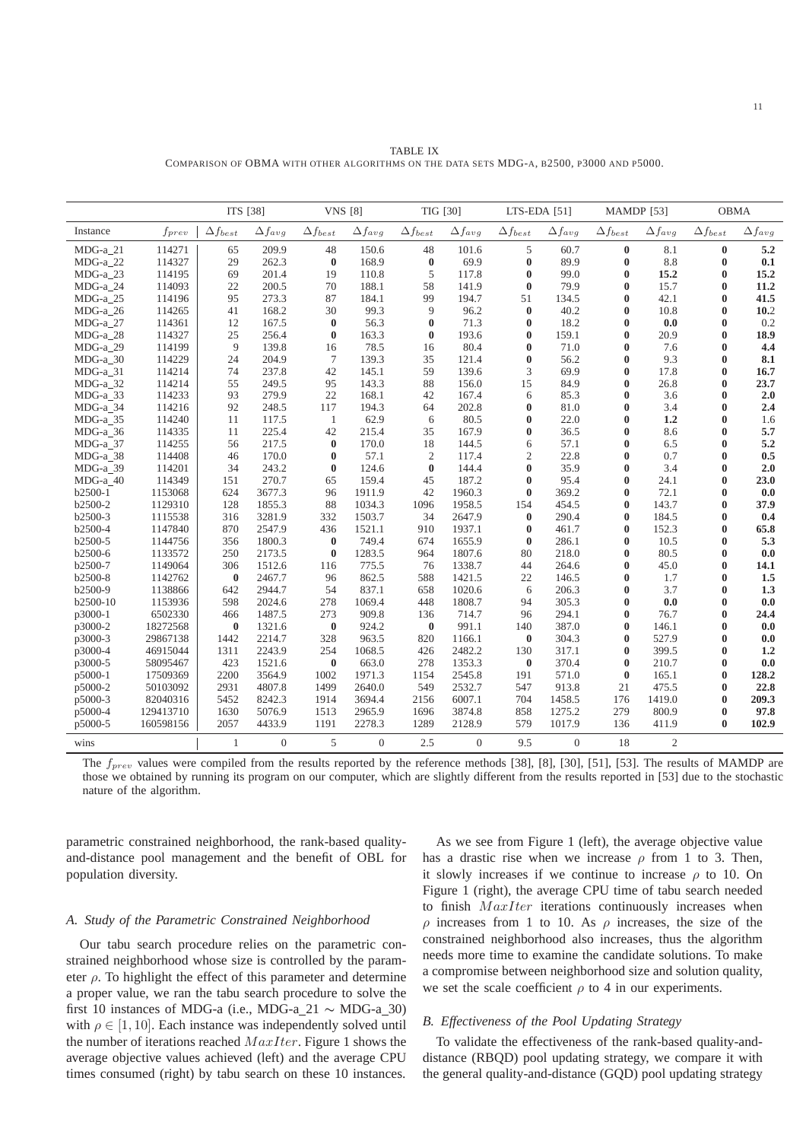|            |            | ITS [38]          |                  | <b>VNS</b> [8]    |                  | TIG [30]          |                  | LTS-EDA [51]      |                  | <b>MAMDP</b> [53] |                  | <b>OBMA</b>       |                  |
|------------|------------|-------------------|------------------|-------------------|------------------|-------------------|------------------|-------------------|------------------|-------------------|------------------|-------------------|------------------|
| Instance   | $f_{prev}$ | $\Delta f_{best}$ | $\Delta f_{avg}$ | $\Delta f_{best}$ | $\Delta f_{avg}$ | $\Delta f_{best}$ | $\Delta f_{avg}$ | $\Delta f_{best}$ | $\Delta f_{avg}$ | $\Delta f_{best}$ | $\Delta f_{avg}$ | $\Delta f_{best}$ | $\Delta f_{avg}$ |
| $MDG-a_21$ | 114271     | 65                | 209.9            | 48                | 150.6            | 48                | 101.6            | 5                 | 60.7             | $\bf{0}$          | 8.1              | $\bf{0}$          | 5.2              |
| MDG-a 22   | 114327     | 29                | 262.3            | $\bf{0}$          | 168.9            | $\bf{0}$          | 69.9             | $\bf{0}$          | 89.9             | $\bf{0}$          | 8.8              | $\bf{0}$          | 0.1              |
| MDG-a 23   | 114195     | 69                | 201.4            | 19                | 110.8            | 5                 | 117.8            | $\mathbf{0}$      | 99.0             | $\mathbf{0}$      | 15.2             | $\bf{0}$          | 15.2             |
| MDG-a 24   | 114093     | 22                | 200.5            | 70                | 188.1            | 58                | 141.9            | $\bf{0}$          | 79.9             | $\bf{0}$          | 15.7             | 0                 | 11.2             |
| $MDG-a_25$ | 114196     | 95                | 273.3            | 87                | 184.1            | 99                | 194.7            | 51                | 134.5            | $\bf{0}$          | 42.1             | $\bf{0}$          | 41.5             |
| MDG-a 26   | 114265     | 41                | 168.2            | 30                | 99.3             | 9                 | 96.2             | $\mathbf{0}$      | 40.2             | $\bf{0}$          | 10.8             | 0                 | 10.2             |
| $MDG-a_27$ | 114361     | 12                | 167.5            | $\bf{0}$          | 56.3             | $\bf{0}$          | 71.3             | $\bf{0}$          | 18.2             | $\bf{0}$          | 0.0              | 0                 | 0.2              |
| MDG-a_28   | 114327     | 25                | 256.4            | $\bf{0}$          | 163.3            | $\bf{0}$          | 193.6            | $\bf{0}$          | 159.1            | $\bf{0}$          | 20.9             | $\bf{0}$          | 18.9             |
| MDG-a_29   | 114199     | 9                 | 139.8            | 16                | 78.5             | 16                | 80.4             | $\bf{0}$          | 71.0             | $\bf{0}$          | 7.6              | $\bf{0}$          | 4.4              |
| MDG-a 30   | 114229     | 24                | 204.9            | 7                 | 139.3            | 35                | 121.4            | $\mathbf{0}$      | 56.2             | $\mathbf{0}$      | 9.3              | $\bf{0}$          | 8.1              |
| MDG-a_31   | 114214     | 74                | 237.8            | 42                | 145.1            | 59                | 139.6            | 3                 | 69.9             | $\bf{0}$          | 17.8             | 0                 | 16.7             |
| MDG-a_32   | 114214     | 55                | 249.5            | 95                | 143.3            | 88                | 156.0            | 15                | 84.9             | $\bf{0}$          | 26.8             | $\bf{0}$          | 23.7             |
| MDG-a_33   | 114233     | 93                | 279.9            | 22                | 168.1            | 42                | 167.4            | 6                 | 85.3             | $\bf{0}$          | 3.6              | 0                 | 2.0              |
| MDG-a_34   | 114216     | 92                | 248.5            | 117               | 194.3            | 64                | 202.8            | $\bf{0}$          | 81.0             | $\bf{0}$          | 3.4              | $\bf{0}$          | 2.4              |
| MDG-a 35   | 114240     | 11                | 117.5            | 1                 | 62.9             | 6                 | 80.5             | $\bf{0}$          | 22.0             | $\bf{0}$          | 1.2              | 0                 | 1.6              |
| MDG-a_36   | 114335     | 11                | 225.4            | 42                | 215.4            | 35                | 167.9            | $\bf{0}$          | 36.5             | $\bf{0}$          | 8.6              | $\bf{0}$          | 5.7              |
| MDG-a 37   | 114255     | 56                | 217.5            | $\bf{0}$          | 170.0            | 18                | 144.5            | 6                 | 57.1             | $\bf{0}$          | 6.5              | 0                 | 5.2              |
| MDG-a 38   | 114408     | 46                | 170.0            | $\bf{0}$          | 57.1             | 2                 | 117.4            | $\overline{2}$    | 22.8             | $\bf{0}$          | 0.7              | 0                 | 0.5              |
| MDG-a_39   | 114201     | 34                | 243.2            | $\bf{0}$          | 124.6            | $\bf{0}$          | 144.4            | $\bf{0}$          | 35.9             | $\bf{0}$          | 3.4              | 0                 | 2.0              |
| MDG-a_40   | 114349     | 151               | 270.7            | 65                | 159.4            | 45                | 187.2            | $\bf{0}$          | 95.4             | $\bf{0}$          | 24.1             | 0                 | 23.0             |
| b2500-1    | 1153068    | 624               | 3677.3           | 96                | 1911.9           | 42                | 1960.3           | $\bf{0}$          | 369.2            | $\bf{0}$          | 72.1             | 0                 | 0.0              |
| b2500-2    | 1129310    | 128               | 1855.3           | 88                | 1034.3           | 1096              | 1958.5           | 154               | 454.5            | $\bf{0}$          | 143.7            | $\bf{0}$          | 37.9             |
| b2500-3    | 1115538    | 316               | 3281.9           | 332               | 1503.7           | 34                | 2647.9           | $\bf{0}$          | 290.4            | $\bf{0}$          | 184.5            | $\bf{0}$          | 0.4              |
| b2500-4    | 1147840    | 870               | 2547.9           | 436               | 1521.1           | 910               | 1937.1           | $\bf{0}$          | 461.7            | $\bf{0}$          | 152.3            | 0                 | 65.8             |
| b2500-5    | 1144756    | 356               | 1800.3           | $\bf{0}$          | 749.4            | 674               | 1655.9           | $\bf{0}$          | 286.1            | $\bf{0}$          | 10.5             | 0                 | 5.3              |
| b2500-6    | 1133572    | 250               | 2173.5           | $\bf{0}$          | 1283.5           | 964               | 1807.6           | 80                | 218.0            | $\bf{0}$          | 80.5             | 0                 | 0.0              |
| b2500-7    | 1149064    | 306               | 1512.6           | 116               | 775.5            | 76                | 1338.7           | 44                | 264.6            | $\bf{0}$          | 45.0             | 0                 | 14.1             |
| b2500-8    | 1142762    | $\bf{0}$          | 2467.7           | 96                | 862.5            | 588               | 1421.5           | 22                | 146.5            | $\bf{0}$          | 1.7              | 0                 | 1.5              |
| b2500-9    | 1138866    | 642               | 2944.7           | 54                | 837.1            | 658               | 1020.6           | 6                 | 206.3            | $\mathbf{0}$      | 3.7              | 0                 | 1.3              |
| b2500-10   | 1153936    | 598               | 2024.6           | 278               | 1069.4           | 448               | 1808.7           | 94                | 305.3            | $\bf{0}$          | 0.0              | $\bf{0}$          | 0.0              |
| p3000-1    | 6502330    | 466               | 1487.5           | 273               | 909.8            | 136               | 714.7            | 96                | 294.1            | $\mathbf{0}$      | 76.7             | $\bf{0}$          | 24.4             |
| p3000-2    | 18272568   | $\bf{0}$          | 1321.6           | $\bf{0}$          | 924.2            | $\bf{0}$          | 991.1            | 140               | 387.0            | $\bf{0}$          | 146.1            | 0                 | 0.0              |
| p3000-3    | 29867138   | 1442              | 2214.7           | 328               | 963.5            | 820               | 1166.1           | $\bf{0}$          | 304.3            | $\bf{0}$          | 527.9            | 0                 | 0.0              |
| p3000-4    | 46915044   | 1311              | 2243.9           | 254               | 1068.5           | 426               | 2482.2           | 130               | 317.1            | $\bf{0}$          | 399.5            | $\bf{0}$          | 1,2              |
| p3000-5    | 58095467   | 423               | 1521.6           | $\bf{0}$          | 663.0            | 278               | 1353.3           | $\bf{0}$          | 370.4            | $\bf{0}$          | 210.7            | 0                 | 0.0              |
| p5000-1    | 17509369   | 2200              | 3564.9           | 1002              | 1971.3           | 1154              | 2545.8           | 191               | 571.0            | $\bf{0}$          | 165.1            | $\bf{0}$          | 128.2            |
| p5000-2    | 50103092   | 2931              | 4807.8           | 1499              | 2640.0           | 549               | 2532.7           | 547               | 913.8            | 21                | 475.5            | $\bf{0}$          | 22.8             |
| p5000-3    | 82040316   | 5452              | 8242.3           | 1914              | 3694.4           | 2156              | 6007.1           | 704               | 1458.5           | 176               | 1419.0           | $\bf{0}$          | 209.3            |
| p5000-4    | 129413710  | 1630              | 5076.9           | 1513              | 2965.9           | 1696              | 3874.8           | 858               | 1275.2           | 279               | 800.9            | 0                 | 97.8             |
| p5000-5    | 160598156  | 2057              | 4433.9           | 1191              | 2278.3           | 1289              | 2128.9           | 579               | 1017.9           | 136               | 411.9            | $\bf{0}$          | 102.9            |

TABLE IX COMPARISON OF OBMA WITH OTHER ALGORITHMS ON THE DATA SETS MDG-A, B2500, P3000 AND P5000.

The  $f_{prev}$  values were compiled from the results reported by the reference methods [38], [8], [30], [51], [53]. The results of MAMDP are those we obtained by running its program on our computer, which are slightly different from the results reported in [53] due to the stochastic nature of the algorithm.

wins 1 0 5 0 2.5 0 9.5 0 18 2

parametric constrained neighborhood, the rank-based qualityand-distance pool management and the benefit of OBL for population diversity.

#### *A. Study of the Parametric Constrained Neighborhood*

Our tabu search procedure relies on the parametric constrained neighborhood whose size is controlled by the parameter  $\rho$ . To highlight the effect of this parameter and determine a proper value, we ran the tabu search procedure to solve the first 10 instances of MDG-a (i.e., MDG-a 21  $\sim$  MDG-a 30) with  $\rho \in [1, 10]$ . Each instance was independently solved until the number of iterations reached  $MaxIter$ . Figure 1 shows the average objective values achieved (left) and the average CPU times consumed (right) by tabu search on these 10 instances.

As we see from Figure 1 (left), the average objective value has a drastic rise when we increase  $\rho$  from 1 to 3. Then, it slowly increases if we continue to increase  $\rho$  to 10. On Figure 1 (right), the average CPU time of tabu search needed to finish  $MaxIter$  iterations continuously increases when ρ increases from 1 to 10. As ρ increases, the size of the constrained neighborhood also increases, thus the algorithm needs more time to examine the candidate solutions. To make a compromise between neighborhood size and solution quality, we set the scale coefficient  $\rho$  to 4 in our experiments.

#### *B. Effectiveness of the Pool Updating Strategy*

To validate the effectiveness of the rank-based quality-anddistance (RBQD) pool updating strategy, we compare it with the general quality-and-distance (GQD) pool updating strategy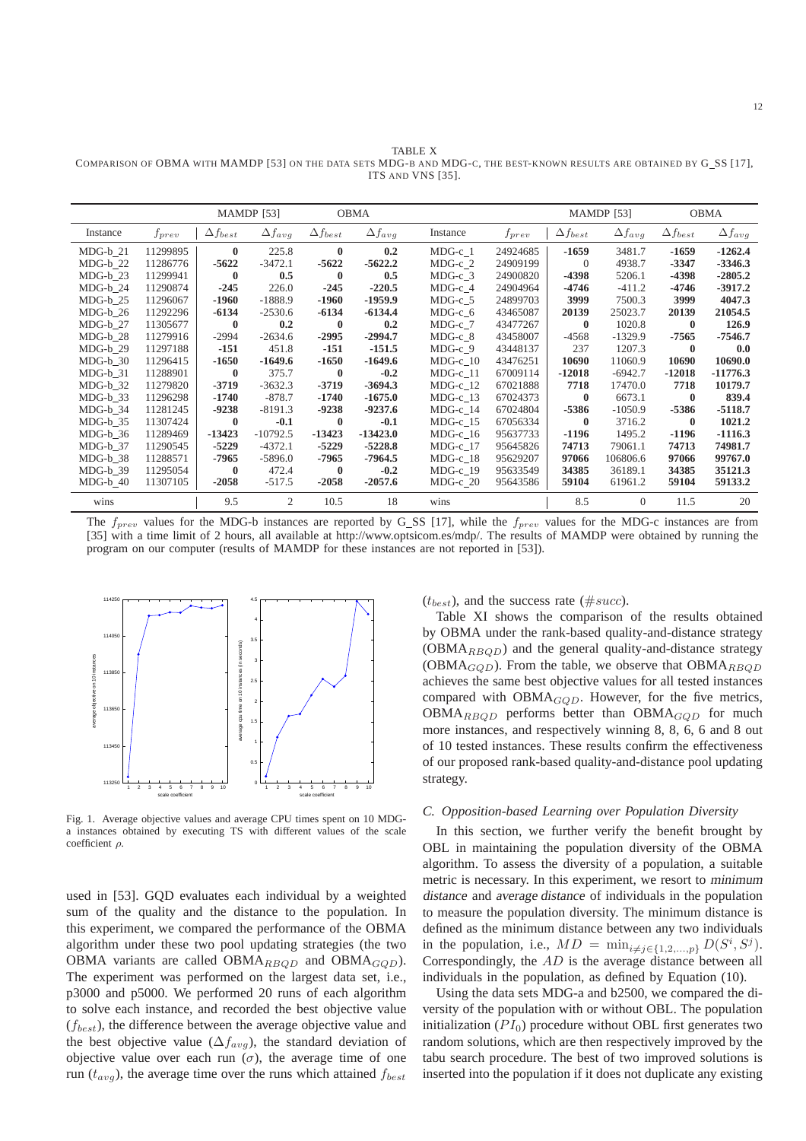TABLE X COMPARISON OF OBMA WITH MAMDP [53] ON THE DATA SETS MDG-B AND MDG-C, THE BEST-KNOWN RESULTS ARE OBTAINED BY G SS [17], ITS AND VNS [35].

|            |            |                   | <b>MAMDP</b> [53] |                   | <b>OBMA</b>      |            |            |                   | <b>MAMDP</b> [53] |                   | OBMA             |
|------------|------------|-------------------|-------------------|-------------------|------------------|------------|------------|-------------------|-------------------|-------------------|------------------|
| Instance   | $f_{prev}$ | $\Delta f_{best}$ | $\Delta f_{avg}$  | $\Delta f_{best}$ | $\Delta f_{avg}$ | Instance   | $f_{prev}$ | $\Delta f_{best}$ | $\Delta f_{avg}$  | $\Delta f_{best}$ | $\Delta f_{avg}$ |
| $MDG-b$ 21 | 11299895   | $\mathbf{0}$      | 225.8             | $\mathbf{0}$      | 0.2              | $MDG-c$ 1  | 24924685   | $-1659$           | 3481.7            | $-1659$           | $-1262.4$        |
| $MDG-b$ 22 | 11286776   | $-5622$           | $-3472.1$         | $-5622$           | $-5622.2$        | $MDG-c$ 2  | 24909199   | $\Omega$          | 4938.7            | $-3347$           | $-3346.3$        |
| $MDG-b$ 23 | 11299941   | $\mathbf{0}$      | 0.5               | $\mathbf{0}$      | 0.5              | $MDG-c$ 3  | 24900820   | -4398             | 5206.1            | -4398             | $-2805.2$        |
| $MDG-b$ 24 | 11290874   | $-245$            | 226.0             | $-245$            | $-220.5$         | $MDG-c$ 4  | 24904964   | $-4746$           | $-411.2$          | -4746             | $-3917.2$        |
| $MDG-b$ 25 | 11296067   | $-1960$           | $-1888.9$         | $-1960$           | $-1959.9$        | $MDG-c$ 5  | 24899703   | 3999              | 7500.3            | 3999              | 4047.3           |
| $MDG-b$ 26 | 11292296   | $-6134$           | $-2530.6$         | $-6134$           | $-6134.4$        | $MDG-c_6$  | 43465087   | 20139             | 25023.7           | 20139             | 21054.5          |
| MDG-b 27   | 11305677   | $\mathbf{0}$      | 0.2               | $\mathbf{0}$      | 0.2              | $MDG-c$ 7  | 43477267   | $\mathbf{0}$      | 1020.8            | $\mathbf{0}$      | 126.9            |
| $MDG-b_28$ | 11279916   | $-2994$           | $-2634.6$         | $-2995$           | $-2994.7$        | $MDG-c$ 8  | 43458007   | $-4568$           | $-1329.9$         | -7565             | $-7546.7$        |
| $MDG-b$ 29 | 11297188   | $-151$            | 451.8             | $-151$            | $-151.5$         | $MDG-c$ 9  | 43448137   | 237               | 1207.3            | $\mathbf{0}$      | 0.0              |
| $MDG-b$ 30 | 11296415   | $-1650$           | $-1649.6$         | $-1650$           | $-1649.6$        | $MDG-c$ 10 | 43476251   | 10690             | 11060.9           | 10690             | 10690.0          |
| $MDG-b$ 31 | 11288901   | $\bf{0}$          | 375.7             | $\mathbf{0}$      | $-0.2$           | $MDG-c_11$ | 67009114   | $-12018$          | $-6942.7$         | $-12018$          | $-11776.3$       |
| $MDG-b$ 32 | 11279820   | $-3719$           | $-3632.3$         | $-3719$           | $-3694.3$        | $MDG-c$ 12 | 67021888   | 7718              | 17470.0           | 7718              | 10179.7          |
| $MDG-b$ 33 | 11296298   | $-1740$           | $-878.7$          | $-1740$           | $-1675.0$        | $MDG-c$ 13 | 67024373   | $\mathbf{0}$      | 6673.1            | $\mathbf{0}$      | 839.4            |
| $MDG-b$ 34 | 11281245   | $-9238$           | $-8191.3$         | $-9238$           | $-9237.6$        | $MDG-c_14$ | 67024804   | -5386             | $-1050.9$         | -5386             | $-5118.7$        |
| $MDG-b$ 35 | 11307424   | $\bf{0}$          | $-0.1$            | $\bf{0}$          | $-0.1$           | $MDG-c$ 15 | 67056334   | $\mathbf{0}$      | 3716.2            | $\mathbf{0}$      | 1021.2           |
| $MDG-b$ 36 | 11289469   | $-13423$          | $-10792.5$        | $-13423$          | $-13423.0$       | $MDG-c_16$ | 95637733   | $-1196$           | 1495.2            | $-1196$           | $-1116.3$        |
| MDG-b 37   | 11290545   | $-5229$           | $-4372.1$         | $-5229$           | $-5228.8$        | MDG-c 17   | 95645826   | 74713             | 79061.1           | 74713             | 74981.7          |
| MDG-b 38   | 11288571   | -7965             | $-5896.0$         | -7965             | -7964.5          | $MDG-c_18$ | 95629207   | 97066             | 106806.6          | 97066             | 99767.0          |
| MDG-b 39   | 11295054   | $\mathbf{0}$      | 472.4             | $\bf{0}$          | $-0.2$           | $MDG-c_19$ | 95633549   | 34385             | 36189.1           | 34385             | 35121.3          |
| $MDG-b$ 40 | 11307105   | $-2058$           | $-517.5$          | $-2058$           | $-2057.6$        | $MDG-c$ 20 | 95643586   | 59104             | 61961.2           | 59104             | 59133.2          |
| wins       |            | 9.5               | 2                 | 10.5              | 18               | wins       |            | 8.5               | $\overline{0}$    | 11.5              | 20               |

The  $f_{prev}$  values for the MDG-b instances are reported by G\_SS [17], while the  $f_{prev}$  values for the MDG-c instances are from [35] with a time limit of 2 hours, all available at http://www.optsicom.es/mdp/. The results of MAMDP were obtained by running the program on our computer (results of MAMDP for these instances are not reported in [53]).



Fig. 1. Average objective values and average CPU times spent on 10 MDGa instances obtained by executing TS with different values of the scale coefficient ρ.

used in [53]. GQD evaluates each individual by a weighted sum of the quality and the distance to the population. In this experiment, we compared the performance of the OBMA algorithm under these two pool updating strategies (the two OBMA variants are called OBMA<sub>RBOD</sub> and OBMA<sub>GOD</sub>). The experiment was performed on the largest data set, i.e., p3000 and p5000. We performed 20 runs of each algorithm to solve each instance, and recorded the best objective value  $(f_{best})$ , the difference between the average objective value and the best objective value ( $\Delta f_{avg}$ ), the standard deviation of objective value over each run  $(\sigma)$ , the average time of one run ( $t_{avg}$ ), the average time over the runs which attained  $f_{best}$ 

 $(t_{best})$ , and the success rate (#succ).

Table XI shows the comparison of the results obtained by OBMA under the rank-based quality-and-distance strategy  $(OBMA_{RBOD})$  and the general quality-and-distance strategy (OBMA $_{GOD}$ ). From the table, we observe that OBMA $_{RBOD}$ achieves the same best objective values for all tested instances compared with  $OBMA_{GQD}$ . However, for the five metrics,  $OBMA_{RBQD}$  performs better than  $OBMA_{GQD}$  for much more instances, and respectively winning 8, 8, 6, 6 and 8 out of 10 tested instances. These results confirm the effectiveness of our proposed rank-based quality-and-distance pool updating strategy.

## *C. Opposition-based Learning over Population Diversity*

In this section, we further verify the benefit brought by OBL in maintaining the population diversity of the OBMA algorithm. To assess the diversity of a population, a suitable metric is necessary. In this experiment, we resort to minimum distance and average distance of individuals in the population to measure the population diversity. The minimum distance is defined as the minimum distance between any two individuals in the population, i.e.,  $MD = \min_{i \neq j \in \{1, 2, ..., p\}} D(S^i, S^j)$ . Correspondingly, the AD is the average distance between all individuals in the population, as defined by Equation (10).

Using the data sets MDG-a and b2500, we compared the diversity of the population with or without OBL. The population initialization  $(PI_0)$  procedure without OBL first generates two random solutions, which are then respectively improved by the tabu search procedure. The best of two improved solutions is inserted into the population if it does not duplicate any existing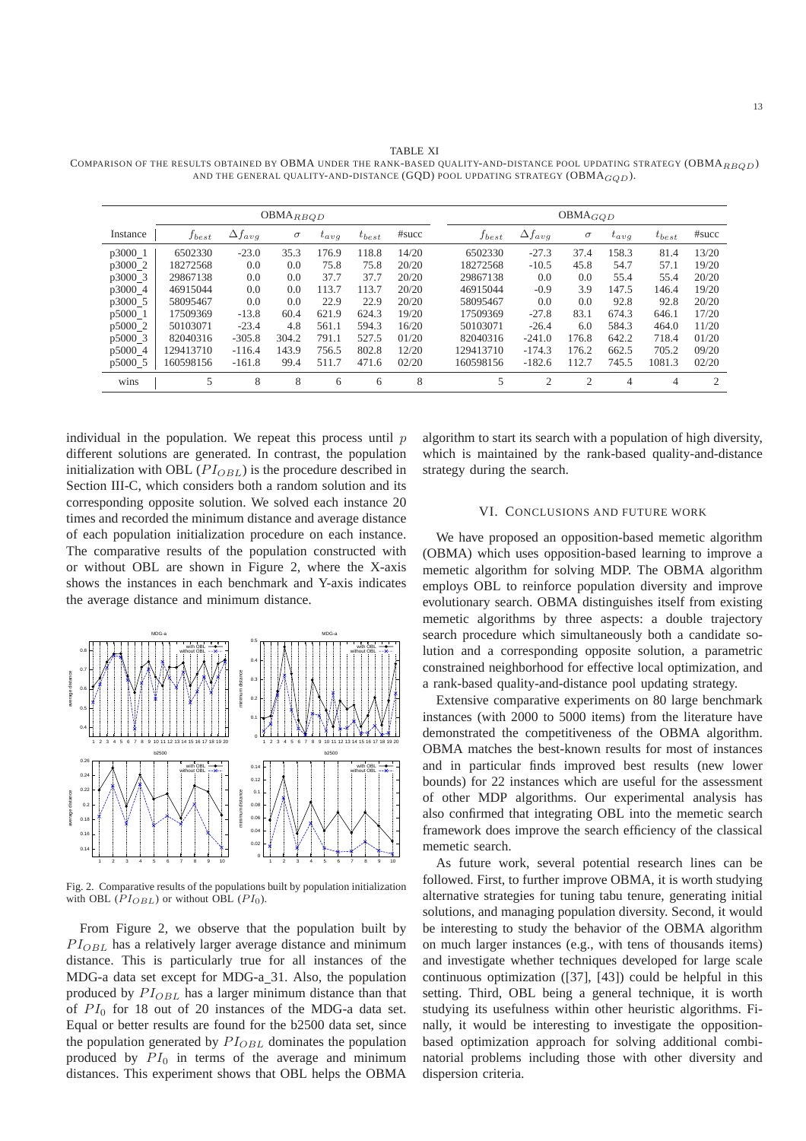TABLE XI COMPARISON OF THE RESULTS OBTAINED BY OBMA UNDER THE RANK-BASED QUALITY-AND-DISTANCE POOL UPDATING STRATEGY (OBMA $_{RBD}$ ) AND THE GENERAL QUALITY-AND-DISTANCE (GQD) POOL UPDATING STRATEGY (OBMA $_{GOD}$ ).

|           | $OBMA_{RBQD}$ |                  |          |           |            |       |  | $OBMA_{GQD}$ |                  |          |           |                |                |  |
|-----------|---------------|------------------|----------|-----------|------------|-------|--|--------------|------------------|----------|-----------|----------------|----------------|--|
| Instance  | $f_{best}$    | $\Delta f_{ava}$ | $\sigma$ | $t_{avg}$ | $t_{best}$ | #succ |  | $f_{best}$   | $\Delta f_{avg}$ | $\sigma$ | $t_{ava}$ | $t_{best}$     | #succ          |  |
| p3000 1   | 6502330       | $-23.0$          | 35.3     | 176.9     | 118.8      | 14/20 |  | 6502330      | $-27.3$          | 37.4     | 158.3     | 81.4           | 13/20          |  |
| p3000_2   | 18272568      | 0.0              | 0.0      | 75.8      | 75.8       | 20/20 |  | 18272568     | $-10.5$          | 45.8     | 54.7      | 57.1           | 19/20          |  |
| p3000 3   | 29867138      | 0.0              | 0.0      | 37.7      | 37.7       | 20/20 |  | 29867138     | 0.0              | 0.0      | 55.4      | 55.4           | 20/20          |  |
| p3000 4   | 46915044      | 0.0              | 0.0      | 113.7     | 113.7      | 20/20 |  | 46915044     | $-0.9$           | 3.9      | 147.5     | 146.4          | 19/20          |  |
| p3000 5   | 58095467      | 0.0              | 0.0      | 22.9      | 22.9       | 20/20 |  | 58095467     | 0.0              | 0.0      | 92.8      | 92.8           | 20/20          |  |
| p5000 1   | 17509369      | $-13.8$          | 60.4     | 621.9     | 624.3      | 19/20 |  | 17509369     | $-27.8$          | 83.1     | 674.3     | 646.1          | 17/20          |  |
| $p5000_2$ | 50103071      | $-23.4$          | 4.8      | 561.1     | 594.3      | 16/20 |  | 50103071     | $-26.4$          | 6.0      | 584.3     | 464.0          | 11/20          |  |
| p5000 3   | 82040316      | $-305.8$         | 304.2    | 791.1     | 527.5      | 01/20 |  | 82040316     | $-241.0$         | 176.8    | 642.2     | 718.4          | 01/20          |  |
| p5000_4   | 129413710     | $-116.4$         | 143.9    | 756.5     | 802.8      | 12/20 |  | 129413710    | $-174.3$         | 176.2    | 662.5     | 705.2          | 09/20          |  |
| p5000_5   | 160598156     | $-161.8$         | 99.4     | 511.7     | 471.6      | 02/20 |  | 160598156    | $-182.6$         | 112.7    | 745.5     | 1081.3         | 02/20          |  |
| wins      | 5             | 8                | 8        | 6         | 6          | 8     |  | 5            | $\overline{2}$   | 2        | 4         | $\overline{4}$ | $\overline{2}$ |  |

individual in the population. We repeat this process until  $p$ different solutions are generated. In contrast, the population initialization with OBL  $(PI_{OBL})$  is the procedure described in Section III-C, which considers both a random solution and its corresponding opposite solution. We solved each instance 20 times and recorded the minimum distance and average distance of each population initialization procedure on each instance. The comparative results of the population constructed with or without OBL are shown in Figure 2, where the X-axis shows the instances in each benchmark and Y-axis indicates the average distance and minimum distance.



Fig. 2. Comparative results of the populations built by population initialization with OBL  $(PI_{OBL})$  or without OBL  $(PI_0)$ .

From Figure 2, we observe that the population built by  $PI_{OBL}$  has a relatively larger average distance and minimum distance. This is particularly true for all instances of the MDG-a data set except for MDG-a 31. Also, the population produced by  $PI_{OBL}$  has a larger minimum distance than that of  $PI_0$  for 18 out of 20 instances of the MDG-a data set. Equal or better results are found for the b2500 data set, since the population generated by  $PI_{OBL}$  dominates the population produced by  $PI_0$  in terms of the average and minimum distances. This experiment shows that OBL helps the OBMA

algorithm to start its search with a population of high diversity, which is maintained by the rank-based quality-and-distance strategy during the search.

# VI. CONCLUSIONS AND FUTURE WORK

We have proposed an opposition-based memetic algorithm (OBMA) which uses opposition-based learning to improve a memetic algorithm for solving MDP. The OBMA algorithm employs OBL to reinforce population diversity and improve evolutionary search. OBMA distinguishes itself from existing memetic algorithms by three aspects: a double trajectory search procedure which simultaneously both a candidate solution and a corresponding opposite solution, a parametric constrained neighborhood for effective local optimization, and a rank-based quality-and-distance pool updating strategy.

Extensive comparative experiments on 80 large benchmark instances (with 2000 to 5000 items) from the literature have demonstrated the competitiveness of the OBMA algorithm. OBMA matches the best-known results for most of instances and in particular finds improved best results (new lower bounds) for 22 instances which are useful for the assessment of other MDP algorithms. Our experimental analysis has also confirmed that integrating OBL into the memetic search framework does improve the search efficiency of the classical memetic search.

As future work, several potential research lines can be followed. First, to further improve OBMA, it is worth studying alternative strategies for tuning tabu tenure, generating initial solutions, and managing population diversity. Second, it would be interesting to study the behavior of the OBMA algorithm on much larger instances (e.g., with tens of thousands items) and investigate whether techniques developed for large scale continuous optimization ([37], [43]) could be helpful in this setting. Third, OBL being a general technique, it is worth studying its usefulness within other heuristic algorithms. Finally, it would be interesting to investigate the oppositionbased optimization approach for solving additional combinatorial problems including those with other diversity and dispersion criteria.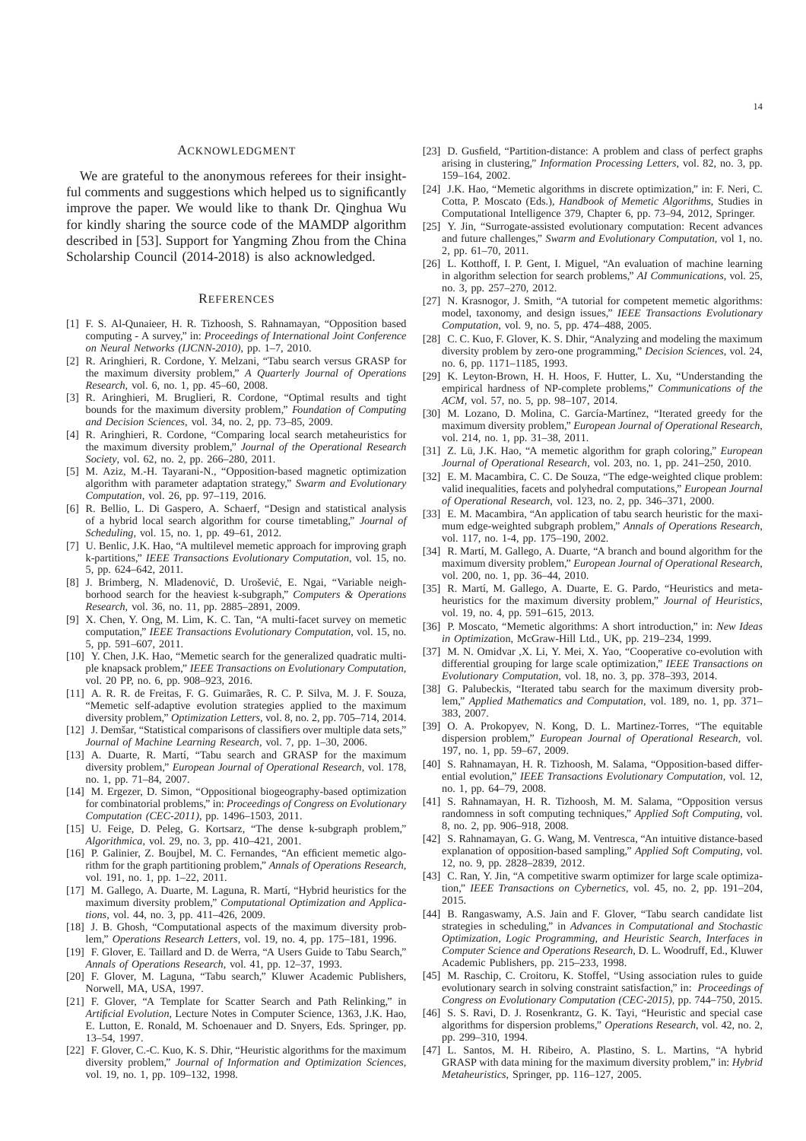#### ACKNOWLEDGMENT

We are grateful to the anonymous referees for their insightful comments and suggestions which helped us to significantly improve the paper. We would like to thank Dr. Qinghua Wu for kindly sharing the source code of the MAMDP algorithm described in [53]. Support for Yangming Zhou from the China Scholarship Council (2014-2018) is also acknowledged.

#### **REFERENCES**

- [1] F. S. Al-Qunaieer, H. R. Tizhoosh, S. Rahnamayan, "Opposition based computing - A survey," in: *Proceedings of International Joint Conference on Neural Networks (IJCNN-2010)*, pp. 1–7, 2010.
- [2] R. Aringhieri, R. Cordone, Y. Melzani, "Tabu search versus GRASP for the maximum diversity problem," *A Quarterly Journal of Operations Research*, vol. 6, no. 1, pp. 45–60, 2008.
- [3] R. Aringhieri, M. Bruglieri, R. Cordone, "Optimal results and tight bounds for the maximum diversity problem," *Foundation of Computing and Decision Sciences*, vol. 34, no. 2, pp. 73–85, 2009.
- [4] R. Aringhieri, R. Cordone, "Comparing local search metaheuristics for the maximum diversity problem," *Journal of the Operational Research Society*, vol. 62, no. 2, pp. 266–280, 2011.
- [5] M. Aziz, M.-H. Tayarani-N., "Opposition-based magnetic optimization algorithm with parameter adaptation strategy," *Swarm and Evolutionary Computation*, vol. 26, pp. 97–119, 2016.
- [6] R. Bellio, L. Di Gaspero, A. Schaerf, "Design and statistical analysis of a hybrid local search algorithm for course timetabling," *Journal of Scheduling*, vol. 15, no. 1, pp. 49–61, 2012.
- [7] U. Benlic, J.K. Hao, "A multilevel memetic approach for improving graph k-partitions," *IEEE Transactions Evolutionary Computation*, vol. 15, no. 5, pp. 624–642, 2011.
- [8] J. Brimberg, N. Mladenović, D. Urošević, E. Ngai, "Variable neighborhood search for the heaviest k-subgraph," *Computers & Operations Research*, vol. 36, no. 11, pp. 2885–2891, 2009.
- [9] X. Chen, Y. Ong, M. Lim, K. C. Tan, "A multi-facet survey on memetic computation," *IEEE Transactions Evolutionary Computation*, vol. 15, no. 5, pp. 591–607, 2011.
- [10] Y. Chen, J.K. Hao, "Memetic search for the generalized quadratic multiple knapsack problem," *IEEE Transactions on Evolutionary Computation*, vol. 20 PP, no. 6, pp. 908–923, 2016.
- [11] A. R. R. de Freitas, F. G. Guimarães, R. C. P. Silva, M. J. F. Souza, "Memetic self-adaptive evolution strategies applied to the maximum diversity problem," *Optimization Letters*, vol. 8, no. 2, pp. 705–714, 2014.
- [12] J. Demšar, "Statistical comparisons of classifiers over multiple data sets," *Journal of Machine Learning Research*, vol. 7, pp. 1–30, 2006.
- [13] A. Duarte, R. Martí, "Tabu search and GRASP for the maximum diversity problem," *European Journal of Operational Research*, vol. 178, no. 1, pp. 71–84, 2007.
- [14] M. Ergezer, D. Simon, "Oppositional biogeography-based optimization for combinatorial problems," in: *Proceedings of Congress on Evolutionary Computation (CEC-2011)*, pp. 1496–1503, 2011.
- [15] U. Feige, D. Peleg, G. Kortsarz, "The dense k-subgraph problem," *Algorithmica*, vol. 29, no. 3, pp. 410–421, 2001.
- [16] P. Galinier, Z. Boujbel, M. C. Fernandes, "An efficient memetic algorithm for the graph partitioning problem," *Annals of Operations Research*, vol. 191, no. 1, pp. 1–22, 2011.
- [17] M. Gallego, A. Duarte, M. Laguna, R. Martí, "Hybrid heuristics for the maximum diversity problem," *Computational Optimization and Applications*, vol. 44, no. 3, pp. 411–426, 2009.
- [18] J. B. Ghosh, "Computational aspects of the maximum diversity problem," *Operations Research Letters*, vol. 19, no. 4, pp. 175–181, 1996.
- [19] F. Glover, E. Taillard and D. de Werra, "A Users Guide to Tabu Search," *Annals of Operations Research*, vol. 41, pp. 12–37, 1993.
- [20] F. Glover, M. Laguna, "Tabu search," Kluwer Academic Publishers, Norwell, MA, USA, 1997.
- [21] F. Glover, "A Template for Scatter Search and Path Relinking," in *Artificial Evolution*, Lecture Notes in Computer Science, 1363, J.K. Hao, E. Lutton, E. Ronald, M. Schoenauer and D. Snyers, Eds. Springer, pp. 13–54, 1997.
- [22] F. Glover, C.-C. Kuo, K. S. Dhir, "Heuristic algorithms for the maximum diversity problem," *Journal of Information and Optimization Sciences*, vol. 19, no. 1, pp. 109–132, 1998.
- [23] D. Gusfield, "Partition-distance: A problem and class of perfect graphs arising in clustering," *Information Processing Letters*, vol. 82, no. 3, pp. 159–164, 2002.
- [24] J.K. Hao, "Memetic algorithms in discrete optimization," in: F. Neri, C. Cotta, P. Moscato (Eds.), *Handbook of Memetic Algorithms*, Studies in Computational Intelligence 379, Chapter 6, pp. 73–94, 2012, Springer.
- [25] Y. Jin, "Surrogate-assisted evolutionary computation: Recent advances and future challenges," *Swarm and Evolutionary Computation*, vol 1, no. 2, pp. 61–70, 2011.
- [26] L. Kotthoff, I. P. Gent, I. Miguel, "An evaluation of machine learning in algorithm selection for search problems," *AI Communications*, vol. 25, no. 3, pp. 257–270, 2012.
- [27] N. Krasnogor, J. Smith, "A tutorial for competent memetic algorithms: model, taxonomy, and design issues," *IEEE Transactions Evolutionary Computation*, vol. 9, no. 5, pp. 474–488, 2005.
- [28] C. C. Kuo, F. Glover, K. S. Dhir, "Analyzing and modeling the maximum diversity problem by zero-one programming," *Decision Sciences*, vol. 24, no. 6, pp. 1171–1185, 1993.
- [29] K. Leyton-Brown, H. H. Hoos, F. Hutter, L. Xu, "Understanding the empirical hardness of NP-complete problems," *Communications of the ACM*, vol. 57, no. 5, pp. 98–107, 2014.
- [30] M. Lozano, D. Molina, C. García-Martínez, "Iterated greedy for the maximum diversity problem," *European Journal of Operational Research*, vol. 214, no. 1, pp. 31–38, 2011.
- [31] Z. Lü, J.K. Hao, "A memetic algorithm for graph coloring," *European Journal of Operational Research*, vol. 203, no. 1, pp. 241–250, 2010.
- [32] E. M. Macambira, C. C. De Souza, "The edge-weighted clique problem: valid inequalities, facets and polyhedral computations," *European Journal of Operational Research*, vol. 123, no. 2, pp. 346–371, 2000.
- [33] E. M. Macambira, "An application of tabu search heuristic for the maximum edge-weighted subgraph problem," *Annals of Operations Research*, vol. 117, no. 1-4, pp. 175–190, 2002.
- [34] R. Martí, M. Gallego, A. Duarte, "A branch and bound algorithm for the maximum diversity problem," *European Journal of Operational Research*, vol. 200, no. 1, pp. 36–44, 2010.
- [35] R. Martí, M. Gallego, A. Duarte, E. G. Pardo, "Heuristics and metaheuristics for the maximum diversity problem," *Journal of Heuristics*, vol. 19, no. 4, pp. 591–615, 2013.
- [36] P. Moscato, "Memetic algorithms: A short introduction," in: *New Ideas in Optimizat*ion, McGraw-Hill Ltd., UK, pp. 219–234, 1999.
- [37] M. N. Omidvar ,X. Li, Y. Mei, X. Yao, "Cooperative co-evolution with differential grouping for large scale optimization," *IEEE Transactions on Evolutionary Computation*, vol. 18, no. 3, pp. 378–393, 2014.
- [38] G. Palubeckis, "Iterated tabu search for the maximum diversity problem," *Applied Mathematics and Computation*, vol. 189, no. 1, pp. 371– 383, 2007.
- [39] O. A. Prokopyev, N. Kong, D. L. Martinez-Torres, "The equitable dispersion problem," *European Journal of Operational Research*, vol. 197, no. 1, pp. 59–67, 2009.
- [40] S. Rahnamayan, H. R. Tizhoosh, M. Salama, "Opposition-based differential evolution," *IEEE Transactions Evolutionary Computation*, vol. 12, no. 1, pp. 64–79, 2008.
- [41] S. Rahnamayan, H. R. Tizhoosh, M. M. Salama, "Opposition versus randomness in soft computing techniques," *Applied Soft Computing*, vol. 8, no. 2, pp. 906–918, 2008.
- [42] S. Rahnamayan, G. G. Wang, M. Ventresca, "An intuitive distance-based explanation of opposition-based sampling," *Applied Soft Computing*, vol. 12, no. 9, pp. 2828–2839, 2012.
- [43] C. Ran, Y. Jin, "A competitive swarm optimizer for large scale optimization," *IEEE Transactions on Cybernetics*, vol. 45, no. 2, pp. 191–204, 2015.
- [44] B. Rangaswamy, A.S. Jain and F. Glover, "Tabu search candidate list strategies in scheduling," in *Advances in Computational and Stochastic Optimization, Logic Programming, and Heuristic Search, Interfaces in Computer Science and Operations Research*, D. L. Woodruff, Ed., Kluwer Academic Publishers, pp. 215–233, 1998.
- [45] M. Raschip, C. Croitoru, K. Stoffel, "Using association rules to guide evolutionary search in solving constraint satisfaction," in: *Proceedings of Congress on Evolutionary Computation (CEC-2015)*, pp. 744–750, 2015.
- [46] S. S. Ravi, D. J. Rosenkrantz, G. K. Tayi, "Heuristic and special case algorithms for dispersion problems," *Operations Research*, vol. 42, no. 2, pp. 299–310, 1994.
- [47] L. Santos, M. H. Ribeiro, A. Plastino, S. L. Martins, "A hybrid GRASP with data mining for the maximum diversity problem," in: *Hybrid Metaheuristics*, Springer, pp. 116–127, 2005.